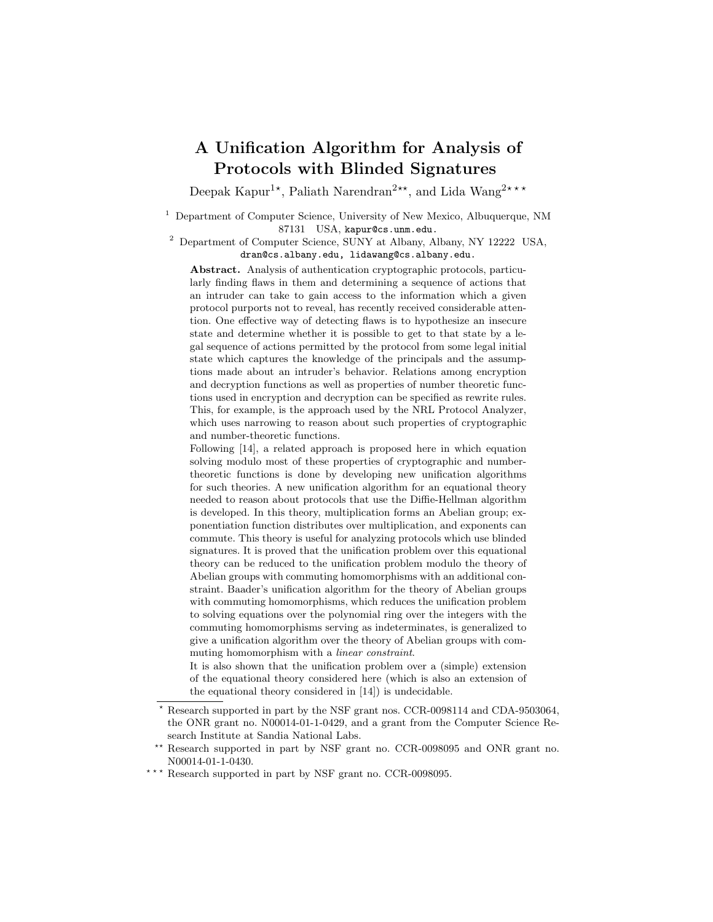# A Unification Algorithm for Analysis of Protocols with Blinded Signatures

Deepak Kapur<sup>1\*</sup>, Paliath Narendran<sup>2\*\*</sup>, and Lida Wang<sup>2\*\*\*</sup>

<sup>1</sup> Department of Computer Science, University of New Mexico, Albuquerque, NM 87131 USA, kapur@cs.unm.edu.

 $^2$  Department of Computer Science, SUNY at Albany, Albany, NY 12222 USA, dran@cs.albany.edu, lidawang@cs.albany.edu.

Abstract. Analysis of authentication cryptographic protocols, particularly finding flaws in them and determining a sequence of actions that an intruder can take to gain access to the information which a given protocol purports not to reveal, has recently received considerable attention. One effective way of detecting flaws is to hypothesize an insecure state and determine whether it is possible to get to that state by a legal sequence of actions permitted by the protocol from some legal initial state which captures the knowledge of the principals and the assumptions made about an intruder's behavior. Relations among encryption and decryption functions as well as properties of number theoretic functions used in encryption and decryption can be specified as rewrite rules. This, for example, is the approach used by the NRL Protocol Analyzer, which uses narrowing to reason about such properties of cryptographic and number-theoretic functions.

Following [14], a related approach is proposed here in which equation solving modulo most of these properties of cryptographic and numbertheoretic functions is done by developing new unification algorithms for such theories. A new unification algorithm for an equational theory needed to reason about protocols that use the Diffie-Hellman algorithm is developed. In this theory, multiplication forms an Abelian group; exponentiation function distributes over multiplication, and exponents can commute. This theory is useful for analyzing protocols which use blinded signatures. It is proved that the unification problem over this equational theory can be reduced to the unification problem modulo the theory of Abelian groups with commuting homomorphisms with an additional constraint. Baader's unification algorithm for the theory of Abelian groups with commuting homomorphisms, which reduces the unification problem to solving equations over the polynomial ring over the integers with the commuting homomorphisms serving as indeterminates, is generalized to give a unification algorithm over the theory of Abelian groups with commuting homomorphism with a linear constraint.

It is also shown that the unification problem over a (simple) extension of the equational theory considered here (which is also an extension of the equational theory considered in [14]) is undecidable.

<sup>?</sup> Research supported in part by the NSF grant nos. CCR-0098114 and CDA-9503064, the ONR grant no. N00014-01-1-0429, and a grant from the Computer Science Research Institute at Sandia National Labs.

Research supported in part by NSF grant no. CCR-0098095 and ONR grant no. N00014-01-1-0430.

Research supported in part by NSF grant no. CCR-0098095.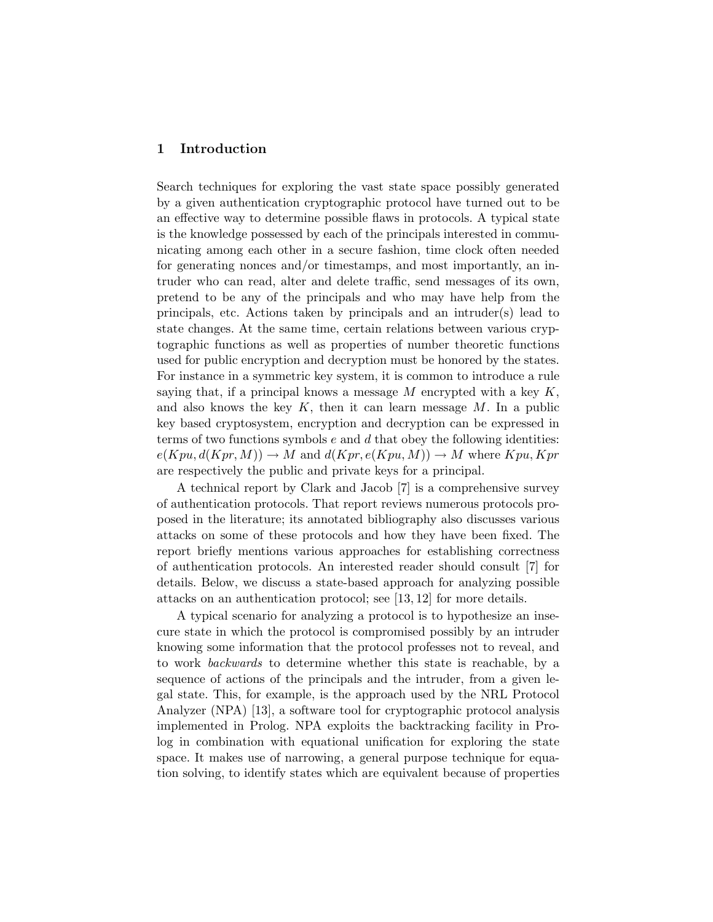#### 1 Introduction

Search techniques for exploring the vast state space possibly generated by a given authentication cryptographic protocol have turned out to be an effective way to determine possible flaws in protocols. A typical state is the knowledge possessed by each of the principals interested in communicating among each other in a secure fashion, time clock often needed for generating nonces and/or timestamps, and most importantly, an intruder who can read, alter and delete traffic, send messages of its own, pretend to be any of the principals and who may have help from the principals, etc. Actions taken by principals and an intruder(s) lead to state changes. At the same time, certain relations between various cryptographic functions as well as properties of number theoretic functions used for public encryption and decryption must be honored by the states. For instance in a symmetric key system, it is common to introduce a rule saying that, if a principal knows a message  $M$  encrypted with a key  $K$ , and also knows the key  $K$ , then it can learn message  $M$ . In a public key based cryptosystem, encryption and decryption can be expressed in terms of two functions symbols  $e$  and  $d$  that obey the following identities:  $e(Kpu, d(Kpr, M)) \to M$  and  $d(Kpr, e(Kpu, M)) \to M$  where  $Kpu, Kpr$ are respectively the public and private keys for a principal.

A technical report by Clark and Jacob [7] is a comprehensive survey of authentication protocols. That report reviews numerous protocols proposed in the literature; its annotated bibliography also discusses various attacks on some of these protocols and how they have been fixed. The report briefly mentions various approaches for establishing correctness of authentication protocols. An interested reader should consult [7] for details. Below, we discuss a state-based approach for analyzing possible attacks on an authentication protocol; see [13, 12] for more details.

A typical scenario for analyzing a protocol is to hypothesize an insecure state in which the protocol is compromised possibly by an intruder knowing some information that the protocol professes not to reveal, and to work backwards to determine whether this state is reachable, by a sequence of actions of the principals and the intruder, from a given legal state. This, for example, is the approach used by the NRL Protocol Analyzer (NPA) [13], a software tool for cryptographic protocol analysis implemented in Prolog. NPA exploits the backtracking facility in Prolog in combination with equational unification for exploring the state space. It makes use of narrowing, a general purpose technique for equation solving, to identify states which are equivalent because of properties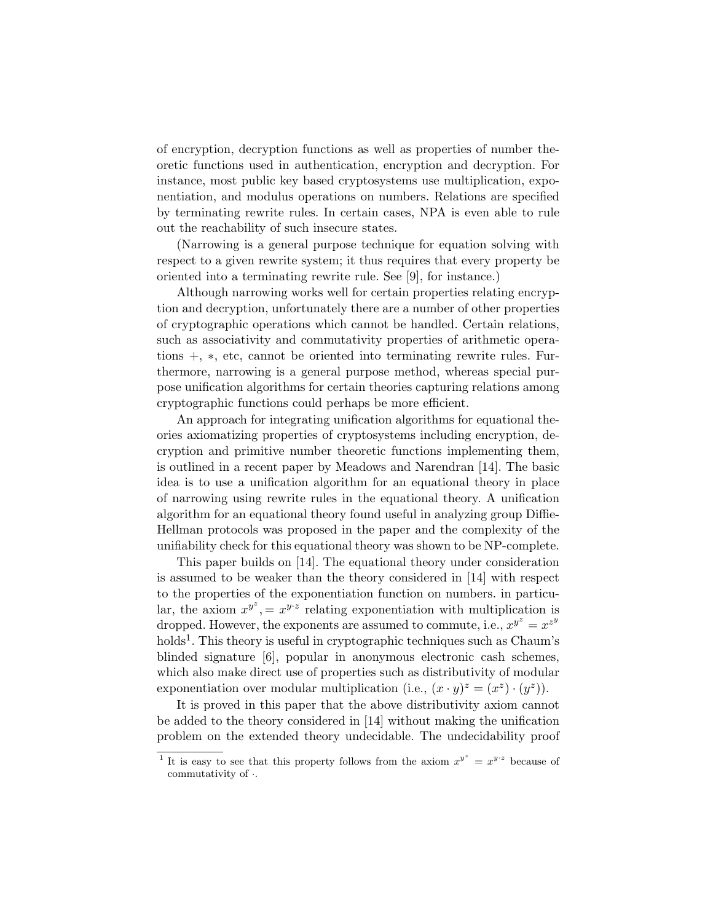of encryption, decryption functions as well as properties of number theoretic functions used in authentication, encryption and decryption. For instance, most public key based cryptosystems use multiplication, exponentiation, and modulus operations on numbers. Relations are specified by terminating rewrite rules. In certain cases, NPA is even able to rule out the reachability of such insecure states.

(Narrowing is a general purpose technique for equation solving with respect to a given rewrite system; it thus requires that every property be oriented into a terminating rewrite rule. See [9], for instance.)

Although narrowing works well for certain properties relating encryption and decryption, unfortunately there are a number of other properties of cryptographic operations which cannot be handled. Certain relations, such as associativity and commutativity properties of arithmetic operations +, ∗, etc, cannot be oriented into terminating rewrite rules. Furthermore, narrowing is a general purpose method, whereas special purpose unification algorithms for certain theories capturing relations among cryptographic functions could perhaps be more efficient.

An approach for integrating unification algorithms for equational theories axiomatizing properties of cryptosystems including encryption, decryption and primitive number theoretic functions implementing them, is outlined in a recent paper by Meadows and Narendran [14]. The basic idea is to use a unification algorithm for an equational theory in place of narrowing using rewrite rules in the equational theory. A unification algorithm for an equational theory found useful in analyzing group Diffie-Hellman protocols was proposed in the paper and the complexity of the unifiability check for this equational theory was shown to be NP-complete.

This paper builds on [14]. The equational theory under consideration is assumed to be weaker than the theory considered in [14] with respect to the properties of the exponentiation function on numbers. in particular, the axiom  $x^{y^z}$ ,  $= x^{y \cdot z}$  relating exponentiation with multiplication is dropped. However, the exponents are assumed to commute, i.e.,  $x^{y^z} = x^{z^y}$ holds<sup>1</sup>. This theory is useful in cryptographic techniques such as Chaum's blinded signature [6], popular in anonymous electronic cash schemes, which also make direct use of properties such as distributivity of modular exponentiation over modular multiplication (i.e.,  $(x \cdot y)^z = (x^z) \cdot (y^z)$ ).

It is proved in this paper that the above distributivity axiom cannot be added to the theory considered in [14] without making the unification problem on the extended theory undecidable. The undecidability proof

<sup>&</sup>lt;sup>1</sup> It is easy to see that this property follows from the axiom  $x^{y^2} = x^{y \cdot z}$  because of commutativity of ·.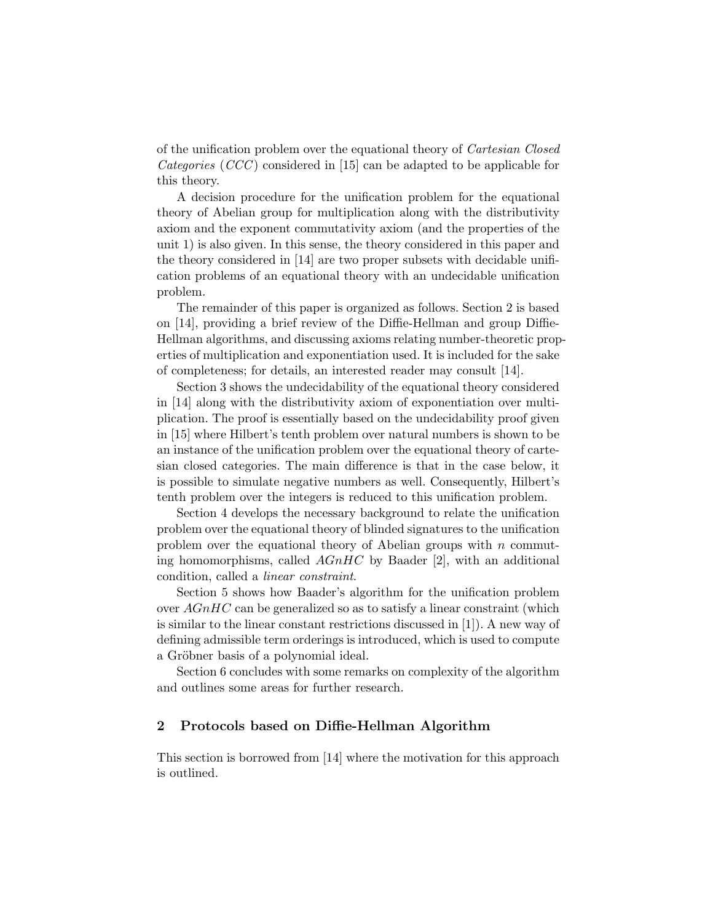of the unification problem over the equational theory of Cartesian Closed Categories  $(CCC)$  considered in [15] can be adapted to be applicable for this theory.

A decision procedure for the unification problem for the equational theory of Abelian group for multiplication along with the distributivity axiom and the exponent commutativity axiom (and the properties of the unit 1) is also given. In this sense, the theory considered in this paper and the theory considered in [14] are two proper subsets with decidable unification problems of an equational theory with an undecidable unification problem.

The remainder of this paper is organized as follows. Section 2 is based on [14], providing a brief review of the Diffie-Hellman and group Diffie-Hellman algorithms, and discussing axioms relating number-theoretic properties of multiplication and exponentiation used. It is included for the sake of completeness; for details, an interested reader may consult [14].

Section 3 shows the undecidability of the equational theory considered in [14] along with the distributivity axiom of exponentiation over multiplication. The proof is essentially based on the undecidability proof given in [15] where Hilbert's tenth problem over natural numbers is shown to be an instance of the unification problem over the equational theory of cartesian closed categories. The main difference is that in the case below, it is possible to simulate negative numbers as well. Consequently, Hilbert's tenth problem over the integers is reduced to this unification problem.

Section 4 develops the necessary background to relate the unification problem over the equational theory of blinded signatures to the unification problem over the equational theory of Abelian groups with  $n$  commuting homomorphisms, called  $AGnHC$  by Baader [2], with an additional condition, called a linear constraint.

Section 5 shows how Baader's algorithm for the unification problem over AGnHC can be generalized so as to satisfy a linear constraint (which is similar to the linear constant restrictions discussed in [1]). A new way of defining admissible term orderings is introduced, which is used to compute a Gröbner basis of a polynomial ideal.

Section 6 concludes with some remarks on complexity of the algorithm and outlines some areas for further research.

### 2 Protocols based on Diffie-Hellman Algorithm

This section is borrowed from [14] where the motivation for this approach is outlined.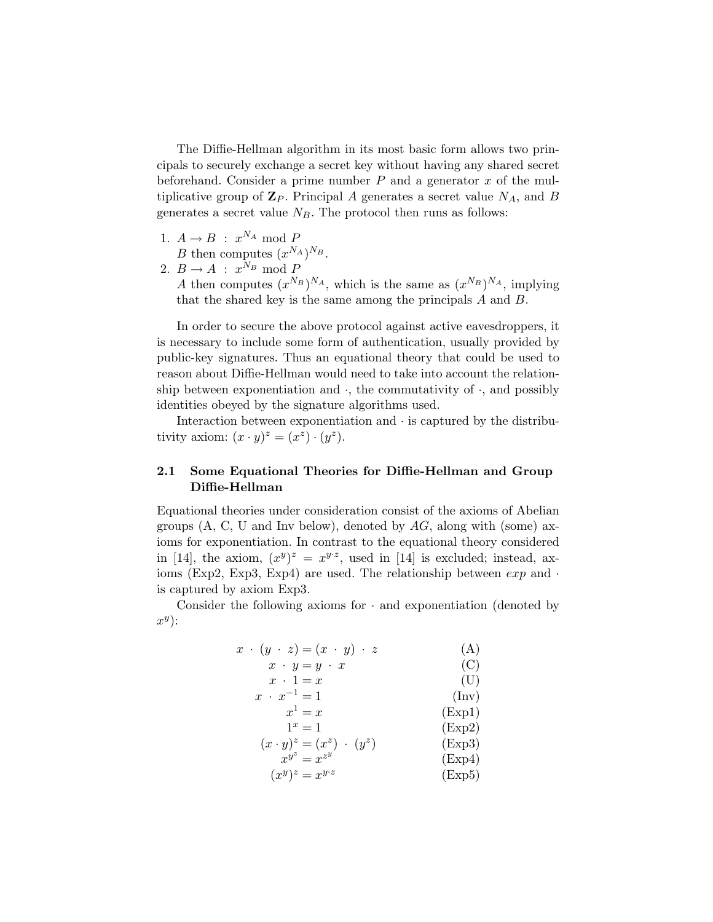The Diffie-Hellman algorithm in its most basic form allows two principals to securely exchange a secret key without having any shared secret beforehand. Consider a prime number  $P$  and a generator  $x$  of the multiplicative group of  $\mathbf{Z}_P$ . Principal A generates a secret value  $N_A$ , and B generates a secret value  $N_B$ . The protocol then runs as follows:

- 1.  $A \rightarrow B : x^{N_A} \mod P$ B then computes  $(x^{N_A})^{N_B}$ .
- 2.  $B \to A : x^{N_B} \mod P$ A then computes  $(x^{N_B})^{N_A}$ , which is the same as  $(x^{N_B})^{N_A}$ , implying that the shared key is the same among the principals A and B.

In order to secure the above protocol against active eavesdroppers, it is necessary to include some form of authentication, usually provided by public-key signatures. Thus an equational theory that could be used to reason about Diffie-Hellman would need to take into account the relationship between exponentiation and  $\cdot$ , the commutativity of  $\cdot$ , and possibly identities obeyed by the signature algorithms used.

Interaction between exponentiation and  $\cdot$  is captured by the distributivity axiom:  $(x \cdot y)^z = (x^z) \cdot (y^z)$ .

## 2.1 Some Equational Theories for Diffie-Hellman and Group Diffie-Hellman

Equational theories under consideration consist of the axioms of Abelian groups  $(A, C, U, A)$  and Inv below), denoted by  $AG$ , along with (some) axioms for exponentiation. In contrast to the equational theory considered in [14], the axiom,  $(x^y)^z = x^{y\cdot z}$ , used in [14] is excluded; instead, axioms (Exp2, Exp3, Exp4) are used. The relationship between  $exp$  and  $\cdot$ is captured by axiom Exp3.

Consider the following axioms for  $\cdot$  and exponentiation (denoted by  $x^y$ ):

$$
x \cdot (y \cdot z) = (x \cdot y) \cdot z
$$
  
\n
$$
x \cdot y = y \cdot x
$$
  
\n
$$
x \cdot 1 = x
$$
  
\n
$$
x \cdot x^{-1} = 1
$$
  
\n
$$
x^1 = x
$$
  
\n
$$
(x \cdot y)^z = (x^z) \cdot (y^z)
$$
  
\n
$$
x^{y^z} = x^{z^y}
$$
  
\n
$$
(x^y)^z = x^{y \cdot z}
$$
  
\n
$$
(x^y)^z = x^{y \cdot z}
$$
  
\n
$$
(x^y)^z = x^{y \cdot z}
$$
  
\n
$$
(x^y)^z = x^{y \cdot z}
$$
  
\n
$$
(x^y)^z = x^{y \cdot z}
$$
  
\n
$$
(x^y)^z = x^{y \cdot z}
$$
  
\n
$$
(x^y)^z = x^{y \cdot z}
$$
  
\n
$$
(x^y)^z = x^{y \cdot z}
$$
  
\n
$$
(x^y)^z = x^{y \cdot z}
$$
  
\n
$$
(x^y)^z = x^{y \cdot z}
$$
  
\n
$$
(x^y)^z = x^{y \cdot z}
$$
  
\n
$$
(x^y)^z = x^{y \cdot z}
$$
  
\n
$$
(x^y)^z = x^{y \cdot z}
$$
  
\n
$$
(x^y)^z = x^{y \cdot z}
$$
  
\n
$$
(x^y)^z = x^{y \cdot z}
$$
  
\n
$$
(x^y)^z = x^{y \cdot z}
$$
  
\n
$$
(x^y)^z = x^{y \cdot z}
$$
  
\n
$$
(x^y)^z = x^{y \cdot z}
$$
  
\n
$$
(x^y)^z = x^{y \cdot z}
$$
  
\n
$$
(x^y)^z = x^{y \cdot z}
$$
  
\n
$$
(x^y)^z = x^{y \cdot z}
$$
  
\n
$$
(x^y)^z = x^{y \cdot z}
$$
  
\n
$$
(x^y)^z = x^{y \cdot z}
$$
  
\n
$$
(x^y)^z = x^{y \cdot z}
$$
  
\n
$$
(x^y)^z = x^{y \cdot z}
$$
  
\n<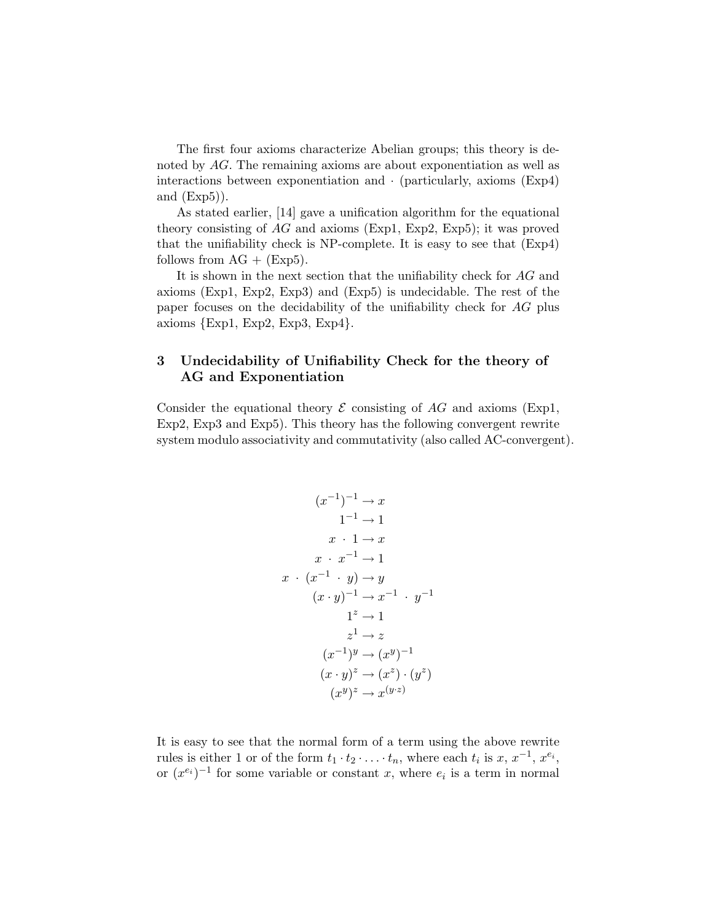The first four axioms characterize Abelian groups; this theory is denoted by AG. The remaining axioms are about exponentiation as well as interactions between exponentiation and  $\cdot$  (particularly, axioms (Exp4) and  $(Exp5)$ ).

As stated earlier, [14] gave a unification algorithm for the equational theory consisting of  $AG$  and axioms (Exp1, Exp2, Exp5); it was proved that the unifiability check is NP-complete. It is easy to see that (Exp4) follows from  $AG + (Exp5)$ .

It is shown in the next section that the unifiability check for AG and axioms (Exp1, Exp2, Exp3) and (Exp5) is undecidable. The rest of the paper focuses on the decidability of the unifiability check for AG plus axioms  $\{Exp1, Exp2, Exp3, Exp4\}.$ 

# 3 Undecidability of Unifiability Check for the theory of AG and Exponentiation

Consider the equational theory  $\mathcal E$  consisting of AG and axioms (Exp1, Exp2, Exp3 and Exp5). This theory has the following convergent rewrite system modulo associativity and commutativity (also called AC-convergent).

$$
(x^{-1})^{-1} \rightarrow x
$$
  
\n
$$
1^{-1} \rightarrow 1
$$
  
\n
$$
x \cdot 1 \rightarrow x
$$
  
\n
$$
x \cdot x^{-1} \rightarrow 1
$$
  
\n
$$
x \cdot (x^{-1} \cdot y) \rightarrow y
$$
  
\n
$$
(x \cdot y)^{-1} \rightarrow x^{-1} \cdot y^{-1}
$$
  
\n
$$
1^{z} \rightarrow 1
$$
  
\n
$$
z^{1} \rightarrow z
$$
  
\n
$$
(x^{-1})^{y} \rightarrow (x^{y})^{-1}
$$
  
\n
$$
(x \cdot y)^{z} \rightarrow (x^{z}) \cdot (y^{z})
$$
  
\n
$$
(x^{y})^{z} \rightarrow x^{(y \cdot z)}
$$

It is easy to see that the normal form of a term using the above rewrite rules is either 1 or of the form  $t_1 \cdot t_2 \cdot \ldots \cdot t_n$ , where each  $t_i$  is  $x, x^{-1}, x^{e_i}$ , or  $(x^{e_i})^{-1}$  for some variable or constant x, where  $e_i$  is a term in normal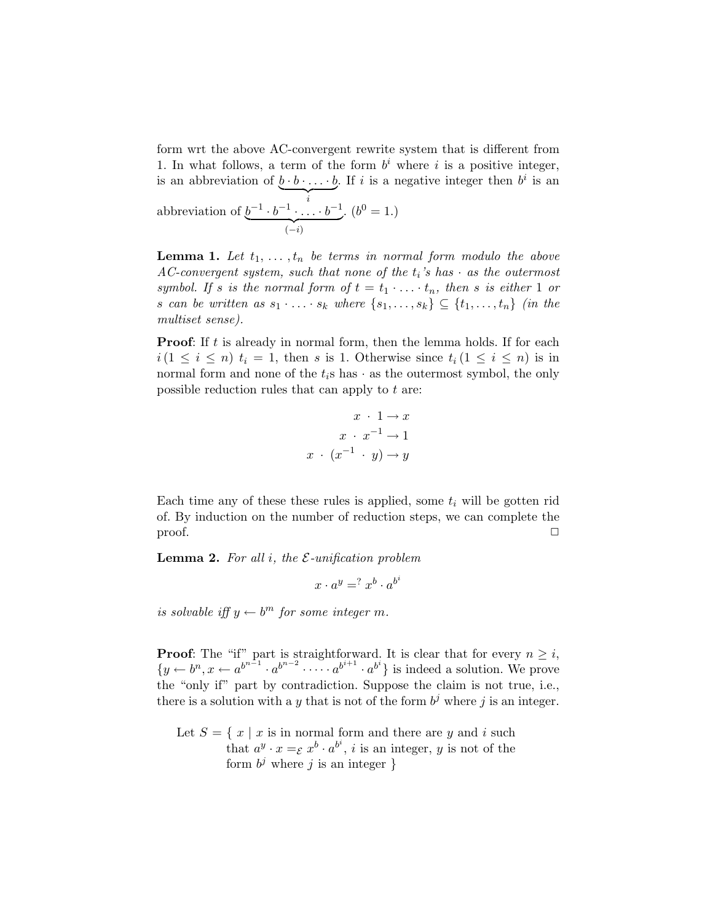form wrt the above AC-convergent rewrite system that is different from 1. In what follows, a term of the form  $b^i$  where i is a positive integer, is an abbreviation of  $b \cdot b \cdot \ldots \cdot b$ . If i is a negative integer then  $b^i$  is an

 $\overrightarrow{i}$ abbreviation of  $b^{-1} \cdot b^{-1} \cdot \ldots \cdot b^{-1}$  $\begin{pmatrix} -i \end{pmatrix}$  $(b^0 = 1)$ 

**Lemma 1.** Let  $t_1, \ldots, t_n$  be terms in normal form modulo the above AC-convergent system, such that none of the  $t_i$ 's has  $\cdot$  as the outermost symbol. If s is the normal form of  $t = t_1 \cdot \ldots \cdot t_n$ , then s is either 1 or s can be written as  $s_1 \cdot \ldots \cdot s_k$  where  $\{s_1, \ldots, s_k\} \subseteq \{t_1, \ldots, t_n\}$  (in the multiset sense).

**Proof:** If  $t$  is already in normal form, then the lemma holds. If for each  $i(1 \leq i \leq n)$   $t_i = 1$ , then s is 1. Otherwise since  $t_i$   $(1 \leq i \leq n)$  is in normal form and none of the  $t_i$ s has  $\cdot$  as the outermost symbol, the only possible reduction rules that can apply to t are:

$$
x \cdot 1 \to x
$$

$$
x \cdot x^{-1} \to 1
$$

$$
x \cdot (x^{-1} \cdot y) \to y
$$

Each time any of these these rules is applied, some  $t_i$  will be gotten rid of. By induction on the number of reduction steps, we can complete the  $\Box$   $\Box$ 

**Lemma 2.** For all i, the  $\mathcal{E}\text{-unification problem}$ 

$$
x \cdot a^y = ? x^b \cdot a^{b^i}
$$

is solvable iff  $y \leftarrow b^m$  for some integer m.

**Proof:** The "if" part is straightforward. It is clear that for every  $n \geq i$ ,  ${y \leftarrow b^n, x \leftarrow a^{b^{n-1}} \cdot a^{b^{n-2}} \cdot \cdots \cdot a^{b^{i+1}} \cdot a^{b^i}$  is indeed a solution. We prove the "only if" part by contradiction. Suppose the claim is not true, i.e., there is a solution with a y that is not of the form  $b^j$  where j is an integer.

Let  $S = \{ x \mid x$  is in normal form and there are y and i such that  $a^y \cdot x = \varepsilon x^b \cdot a^{b^i}$ , *i* is an integer, *y* is not of the form  $b^j$  where j is an integer }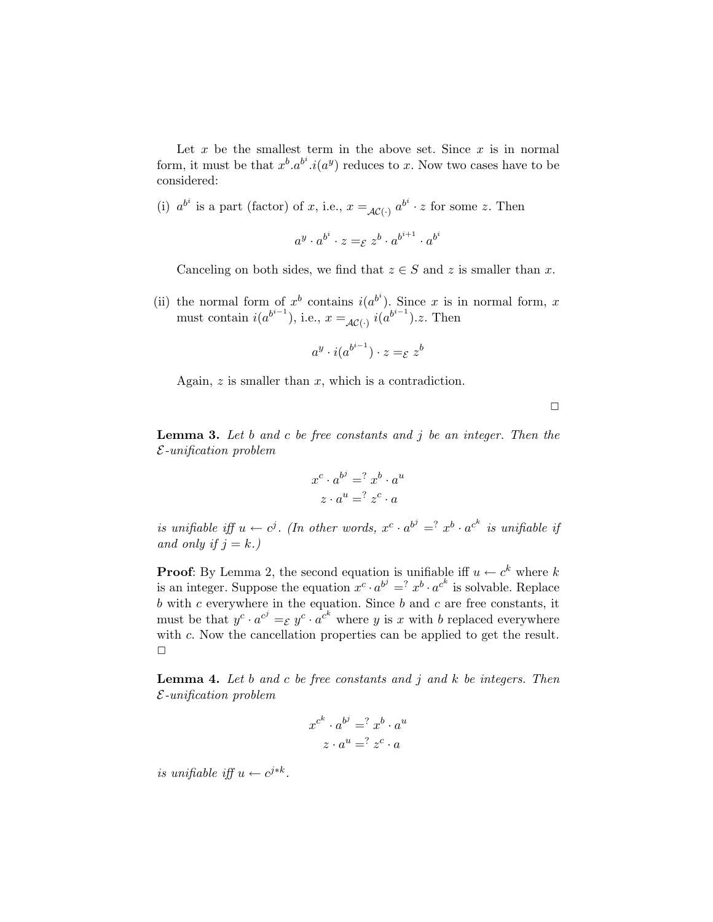Let  $x$  be the smallest term in the above set. Since  $x$  is in normal form, it must be that  $x^b \cdot a^{b^i} \cdot i(a^y)$  reduces to x. Now two cases have to be considered:

(i)  $a^{b^i}$  is a part (factor) of x, i.e.,  $x =_{\mathcal{AC}(\cdot)} a^{b^i} \cdot z$  for some z. Then  $a^y \cdot a^{b^i} \cdot z =_{\mathcal{E}} z^b \cdot a^{b^{i+1}} \cdot a^{b^i}$ 

Canceling on both sides, we find that  $z \in S$  and z is smaller than x.

(ii) the normal form of  $x^b$  contains  $i(a^{b^i})$ . Since x is in normal form, x must contain  $i(a^{b^{i-1}})$ , i.e.,  $x =_{\mathcal{AC}(\cdot)} i(a^{b^{i-1}})$ .z. Then

$$
a^y \cdot i(a^{b^{i-1}}) \cdot z =_{\mathcal{E}} z^b
$$

Again,  $z$  is smaller than  $x$ , which is a contradiction.

 $\Box$ 

**Lemma 3.** Let b and c be free constants and j be an integer. Then the  $\mathcal{E}\text{-}uniform problem$ 

$$
x^{c} \cdot a^{b^{j}} = x^{b} \cdot a^{u}
$$

$$
z \cdot a^{u} = x^{c} \cdot a
$$

is unifiable iff  $u \leftarrow c^j$ . (In other words,  $x^c \cdot a^{b^j} = x^b \cdot a^{c^k}$  is unifiable if and only if  $j = k$ .)

**Proof:** By Lemma 2, the second equation is unifiable iff  $u \leftarrow c^k$  where k is an integer. Suppose the equation  $x^c \cdot a^{b^j} = x^b \cdot a^{c^k}$  is solvable. Replace  $b$  with  $c$  everywhere in the equation. Since  $b$  and  $c$  are free constants, it must be that  $y^c \cdot a^{c^j} =_{\mathcal{E}} y^c \cdot a^{c^k}$  where y is x with b replaced everywhere with c. Now the cancellation properties can be applied to get the result.  $\Box$ 

**Lemma 4.** Let b and c be free constants and j and  $k$  be integers. Then  $\mathcal{E}\text{-}uniform problem$ 

$$
x^{c^k} \cdot a^{b^j} = ? x^b \cdot a^u
$$

$$
z \cdot a^u = ? z^c \cdot a
$$

is unifiable iff  $u \leftarrow c^{j*k}$ .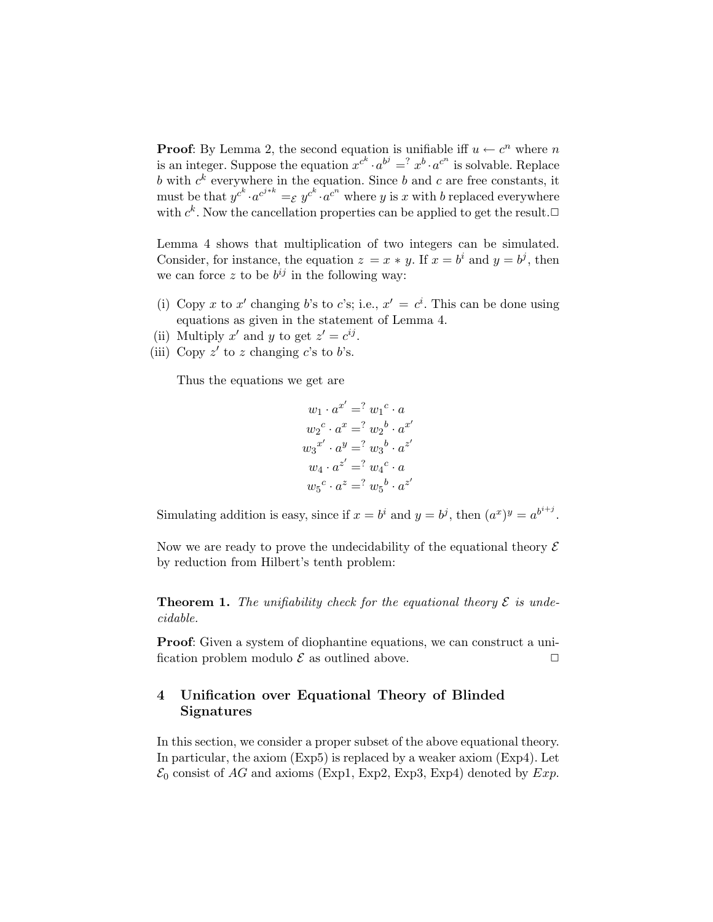**Proof:** By Lemma 2, the second equation is unifiable iff  $u \leftarrow c^n$  where n is an integer. Suppose the equation  $x^{c^k} \cdot a^{b^j} = \nvert^2 x^b \cdot a^{c^n}$  is solvable. Replace b with  $c^k$  everywhere in the equation. Since b and c are free constants, it must be that  $y^{c^k} \cdot a^{c^{j*k}} =_{\mathcal{E}} y^{c^k} \cdot a^{c^n}$  where y is x with b replaced everywhere with  $c^k$ . Now the cancellation properties can be applied to get the result.

Lemma 4 shows that multiplication of two integers can be simulated. Consider, for instance, the equation  $z = x * y$ . If  $x = b^i$  and  $y = b^j$ , then we can force z to be  $b^{ij}$  in the following way:

- (i) Copy x to x' changing b's to c's; i.e.,  $x' = c^i$ . This can be done using equations as given in the statement of Lemma 4.
- (ii) Multiply x' and y to get  $z' = c^{ij}$ .
- (iii) Copy  $z'$  to z changing c's to b's.

Thus the equations we get are

$$
w_1 \cdot a^{x'} = ? w_1^c \cdot a
$$
  
\n
$$
w_2^c \cdot a^x = ? w_2^b \cdot a^{x'}
$$
  
\n
$$
w_3^{x'} \cdot a^y = ? w_3^b \cdot a^{z'}
$$
  
\n
$$
w_4 \cdot a^{z'} = ? w_4^c \cdot a
$$
  
\n
$$
w_5^c \cdot a^z = ? w_5^b \cdot a^{z'}
$$

Simulating addition is easy, since if  $x = b^i$  and  $y = b^j$ , then  $(a^x)^y = a^{b^{i+j}}$ .

Now we are ready to prove the undecidability of the equational theory  $\mathcal E$ by reduction from Hilbert's tenth problem:

**Theorem 1.** The unifiability check for the equational theory  $\mathcal{E}$  is undecidable.

Proof: Given a system of diophantine equations, we can construct a unification problem modulo  $\mathcal E$  as outlined above.  $\Box$ 

# 4 Unification over Equational Theory of Blinded Signatures

In this section, we consider a proper subset of the above equational theory. In particular, the axiom (Exp5) is replaced by a weaker axiom (Exp4). Let  $\mathcal{E}_0$  consist of AG and axioms (Exp1, Exp2, Exp3, Exp4) denoted by Exp.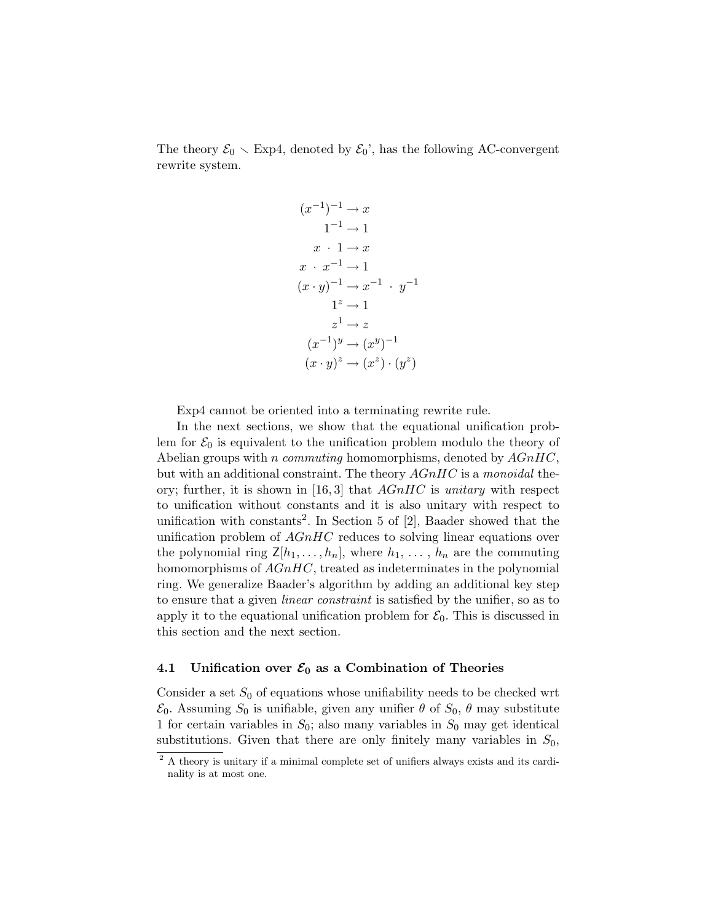The theory  $\mathcal{E}_0 \setminus \text{Exp4}$ , denoted by  $\mathcal{E}_0'$ , has the following AC-convergent rewrite system.

$$
(x^{-1})^{-1} \rightarrow x
$$
  
\n
$$
1^{-1} \rightarrow 1
$$
  
\n
$$
x \cdot 1 \rightarrow x
$$
  
\n
$$
x \cdot x^{-1} \rightarrow 1
$$
  
\n
$$
(x \cdot y)^{-1} \rightarrow x^{-1} \cdot y^{-1}
$$
  
\n
$$
1^{z} \rightarrow 1
$$
  
\n
$$
z^{1} \rightarrow z
$$
  
\n
$$
(x^{-1})^{y} \rightarrow (x^{y})^{-1}
$$
  
\n
$$
(x \cdot y)^{z} \rightarrow (x^{z}) \cdot (y^{z})
$$

Exp4 cannot be oriented into a terminating rewrite rule.

In the next sections, we show that the equational unification problem for  $\mathcal{E}_0$  is equivalent to the unification problem modulo the theory of Abelian groups with *n* commuting homomorphisms, denoted by  $AGnHC$ , but with an additional constraint. The theory  $AGnHC$  is a monoidal theory; further, it is shown in [16,3] that  $AGnHC$  is unitary with respect to unification without constants and it is also unitary with respect to unification with constants<sup>2</sup>. In Section 5 of  $[2]$ , Baader showed that the unification problem of  $AGnHC$  reduces to solving linear equations over the polynomial ring  $\mathsf{Z}[h_1,\ldots,h_n]$ , where  $h_1,\ldots,h_n$  are the commuting homomorphisms of  $AGnHC$ , treated as indeterminates in the polynomial ring. We generalize Baader's algorithm by adding an additional key step to ensure that a given linear constraint is satisfied by the unifier, so as to apply it to the equational unification problem for  $\mathcal{E}_0$ . This is discussed in this section and the next section.

#### 4.1 Unification over  $\mathcal{E}_0$  as a Combination of Theories

Consider a set  $S_0$  of equations whose unifiability needs to be checked wrt  $\mathcal{E}_0$ . Assuming  $S_0$  is unifiable, given any unifier  $\theta$  of  $S_0$ ,  $\theta$  may substitute 1 for certain variables in  $S_0$ ; also many variables in  $S_0$  may get identical substitutions. Given that there are only finitely many variables in  $S_0$ ,

<sup>2</sup> A theory is unitary if a minimal complete set of unifiers always exists and its cardinality is at most one.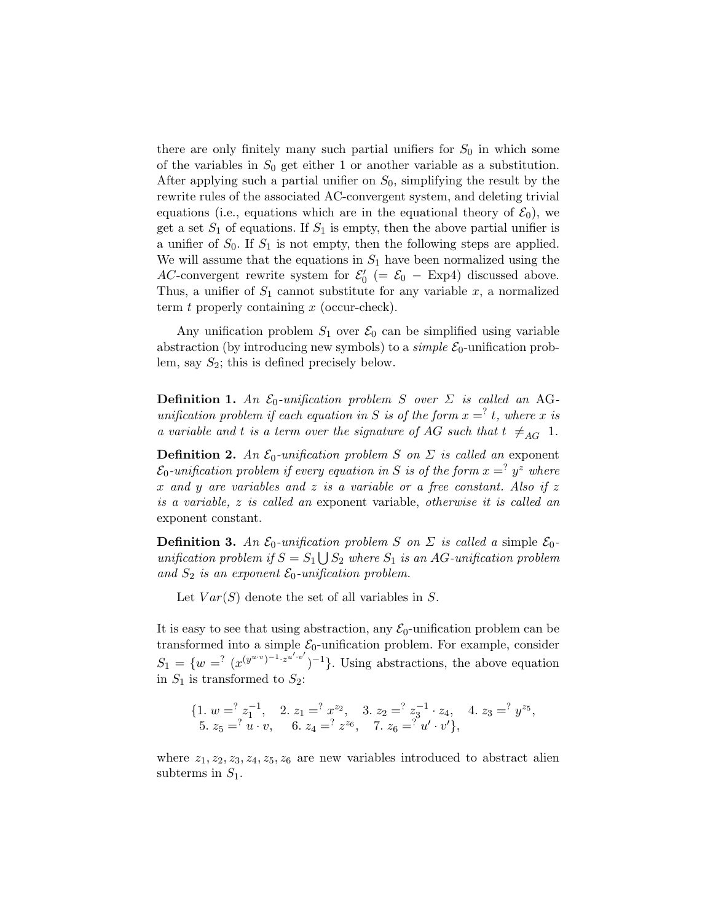there are only finitely many such partial unifiers for  $S_0$  in which some of the variables in  $S_0$  get either 1 or another variable as a substitution. After applying such a partial unifier on  $S_0$ , simplifying the result by the rewrite rules of the associated AC-convergent system, and deleting trivial equations (i.e., equations which are in the equational theory of  $\mathcal{E}_0$ ), we get a set  $S_1$  of equations. If  $S_1$  is empty, then the above partial unifier is a unifier of  $S_0$ . If  $S_1$  is not empty, then the following steps are applied. We will assume that the equations in  $S_1$  have been normalized using the AC-convergent rewrite system for  $\mathcal{E}'_0$  $\zeta_0'$  (=  $\mathcal{E}_0$  – Exp4) discussed above. Thus, a unifier of  $S_1$  cannot substitute for any variable x, a normalized term  $t$  properly containing  $x$  (occur-check).

Any unification problem  $S_1$  over  $\mathcal{E}_0$  can be simplified using variable abstraction (by introducing new symbols) to a *simple*  $\mathcal{E}_0$ -unification problem, say  $S_2$ ; this is defined precisely below.

**Definition 1.** An  $\mathcal{E}_0$ -unification problem S over  $\Sigma$  is called an AGunification problem if each equation in S is of the form  $x = i$ , where x is a variable and t is a term over the signature of AG such that  $t \neq_{AG} 1$ .

**Definition 2.** An  $\mathcal{E}_0$ -unification problem S on  $\Sigma$  is called an exponent  $\mathcal{E}_0$ -unification problem if every equation in S is of the form  $x = 'y^z$  where x and y are variables and z is a variable or a free constant. Also if z is a variable, z is called an exponent variable, otherwise it is called an exponent constant.

**Definition 3.** An  $\mathcal{E}_0$ -unification problem S on  $\Sigma$  is called a simple  $\mathcal{E}_0$ unification problem if  $S = S_1 \bigcup S_2$  where  $S_1$  is an AG-unification problem and  $S_2$  is an exponent  $\mathcal{E}_0$ -unification problem.

Let  $Var(S)$  denote the set of all variables in S.

It is easy to see that using abstraction, any  $\mathcal{E}_0$ -unification problem can be transformed into a simple  $\mathcal{E}_0$ -unification problem. For example, consider  $S_1 = \{w = \left( x^{(y^{u \cdot v})^{-1} \cdot z^{u' \cdot v'}} \right)^{-1} \}.$  Using abstractions, the above equation in  $S_1$  is transformed to  $S_2$ :

$$
\{1. w = x_1^2, x_1^3, 2. z_1 = x_2^2, 3. z_2 = x_3^2, z_4, 4. z_3 = x_3^2, 5. z_5 = x_1^2, y_5, 6. z_4 = x_2^2, 7. z_6 = x_1^2, y_0^2, y_1^2\}
$$

where  $z_1, z_2, z_3, z_4, z_5, z_6$  are new variables introduced to abstract alien subterms in  $S_1$ .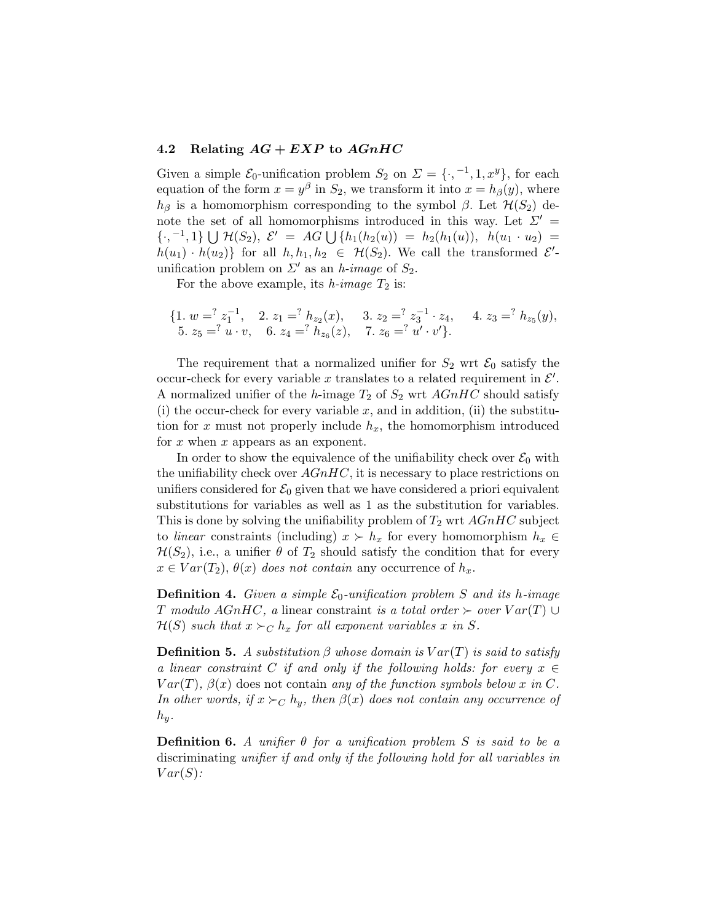#### 4.2 Relating  $AG + EXP$  to  $AGnHC$

Given a simple  $\mathcal{E}_0$ -unification problem  $S_2$  on  $\Sigma = \{\cdot, ^{-1}, 1, x^y\}$ , for each equation of the form  $x = y^{\beta}$  in  $S_2$ , we transform it into  $x = h_{\beta}(y)$ , where  $h_\beta$  is a homomorphism corresponding to the symbol  $\beta$ . Let  $\mathcal{H}(S_2)$  denote the set of all homomorphisms introduced in this way. Let  $\Sigma'$  =  $\{\cdot, ^{-1}, 1\} \cup \mathcal{H}(S_2), \; \mathcal{E}' \; = \; A\mathcal{G} \bigcup \{h_1(h_2(u)) \; = \; h_2(h_1(u)), \; h(u_1 \cdot u_2) \; = \; h_1(h_2(u)) \, ,$  $h(u_1) \cdot h(u_2)$  for all  $h, h_1, h_2 \in H(S_2)$ . We call the transformed  $\mathcal{E}'$ unification problem on  $\Sigma'$  as an *h*-image of  $S_2$ .

For the above example, its *h*-image  $T_2$  is:

$$
\{1. w = x_1^2, x_1^2, 2. z_1 = x_1^2, x_2(x), 3. z_2 = x_3^2, z_3^2, 4. z_3 = x_1^2, z_5(y), 5. z_5 = x_1^2, y_2, 6. z_4 = x_1^2, z_6(z), 7. z_6 = x_1^2, y_3^2\}.
$$

The requirement that a normalized unifier for  $S_2$  wrt  $\mathcal{E}_0$  satisfy the occur-check for every variable x translates to a related requirement in  $\mathcal{E}'$ . A normalized unifier of the h-image  $T_2$  of  $S_2$  wrt  $AGnHC$  should satisfy (i) the occur-check for every variable x, and in addition, (ii) the substitution for x must not properly include  $h_x$ , the homomorphism introduced for x when x appears as an exponent.

In order to show the equivalence of the unifiability check over  $\mathcal{E}_0$  with the unifiability check over  $AGnHC$ , it is necessary to place restrictions on unifiers considered for  $\mathcal{E}_0$  given that we have considered a priori equivalent substitutions for variables as well as 1 as the substitution for variables. This is done by solving the unifiability problem of  $T_2$  wrt  $AGnHC$  subject to *linear* constraints (including)  $x \succ h_x$  for every homomorphism  $h_x \in$  $\mathcal{H}(S_2)$ , i.e., a unifier  $\theta$  of  $T_2$  should satisfy the condition that for every  $x \in Var(T_2), \theta(x)$  does not contain any occurrence of  $h_x$ .

**Definition 4.** Given a simple  $\mathcal{E}_0$ -unification problem S and its h-image T modulo AGnHC, a linear constraint is a total order  $\succ$  over  $Var(T) \cup$  $\mathcal{H}(S)$  such that  $x \succ_C h_x$  for all exponent variables x in S.

**Definition 5.** A substitution  $\beta$  whose domain is  $Var(T)$  is said to satisfy a linear constraint C if and only if the following holds: for every  $x \in$  $Var(T)$ ,  $\beta(x)$  does not contain any of the function symbols below x in C. In other words, if  $x \succ_C h_y$ , then  $\beta(x)$  does not contain any occurrence of  $h_y$ .

**Definition 6.** A unifier  $\theta$  for a unification problem S is said to be a discriminating unifier if and only if the following hold for all variables in  $Var(S)$ :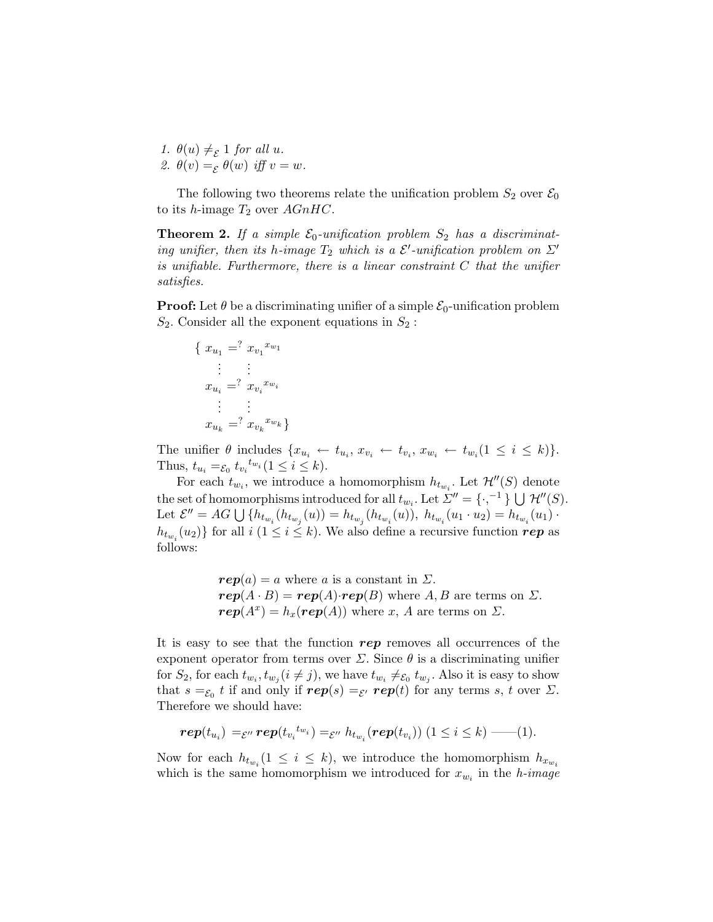1.  $\theta(u) \neq_{\mathcal{E}} 1$  for all u. 2.  $\theta(v) =_{\varepsilon} \theta(w)$  iff  $v = w$ .

The following two theorems relate the unification problem  $S_2$  over  $\mathcal{E}_0$ to its h-image  $T_2$  over  $AGnHC$ .

**Theorem 2.** If a simple  $\mathcal{E}_0$ -unification problem  $S_2$  has a discriminating unifier, then its h-image  $T_2$  which is a  $\mathcal{E}'$ -unification problem on  $\Sigma'$ is unifiable. Furthermore, there is a linear constraint  $C$  that the unifier satisfies.

**Proof:** Let  $\theta$  be a discriminating unifier of a simple  $\mathcal{E}_0$ -unification problem  $S_2$ . Consider all the exponent equations in  $S_2$ :

$$
\{ x_{u_1} = x_{v_1}^{x_{w_1}} \n\vdots \quad \vdots \n x_{u_i} = x_{v_i}^{x_{w_i}} \n\vdots \quad \vdots \n x_{u_k} = x_{v_k}^{x_{w_k}} \}
$$

The unifier  $\theta$  includes  $\{x_{u_i} \leftarrow t_{u_i}, x_{v_i} \leftarrow t_{v_i}, x_{w_i} \leftarrow t_{w_i} (1 \leq i \leq k)\}.$ Thus,  $t_{u_i} =_{\mathcal{E}_0} t_{v_i}^{t_{w_i}} (1 \leq i \leq k)$ .

For each  $t_{w_i}$ , we introduce a homomorphism  $h_{t_{w_i}}$ . Let  $\mathcal{H}''(S)$  denote the set of homomorphisms introduced for all  $t_{w_i}$ . Let  $\sum'' = {\cdot, ^{-1}} \cup \mathcal{H}''(S)$ . Let  $\mathcal{E}'' = AG \bigcup \{h_{t_{w_i}}(h_{t_{w_j}}(u)) = h_{t_{w_j}}(h_{t_{w_i}}(u)), h_{t_{w_i}}(u_1 \cdot u_2) = h_{t_{w_i}}(u_1) \cdot$  $h_{t_{w_i}}(u_2)$ } for all  $i (1 \leq i \leq k)$ . We also define a recursive function  $rep$  as follows:

> $rep(a) = a$  where a is a constant in  $\Sigma$ .  $rep(A \cdot B) = rep(A) \cdot rep(B)$  where A, B are terms on  $\Sigma$ .  $\mathbf{rep}(A^x) = h_x(\mathbf{rep}(A))$  where x, A are terms on  $\Sigma$ .

It is easy to see that the function  $rep$  removes all occurrences of the exponent operator from terms over  $\Sigma$ . Since  $\theta$  is a discriminating unifier for  $S_2$ , for each  $t_{w_i}, t_{w_j} (i \neq j)$ , we have  $t_{w_i} \neq_{\mathcal{E}_0} t_{w_j}$ . Also it is easy to show that  $s = \varepsilon_0$  t if and only if  $rep(s) = \varepsilon$  rep(t) for any terms s, t over  $\Sigma$ . Therefore we should have:

$$
\textit{rep}(t_{u_i}) =_{\mathcal{E}''} \textit{rep}(t_{v_i}^{t_{w_i}}) =_{\mathcal{E}''} h_{t_{w_i}}(\textit{rep}(t_{v_i})) \ (1 \leq i \leq k) \ \ \text{---}(1).
$$

Now for each  $h_{t_{w_i}}(1 \leq i \leq k)$ , we introduce the homomorphism  $h_{x_{w_i}}$ which is the same homomorphism we introduced for  $x_{w_i}$  in the *h*-image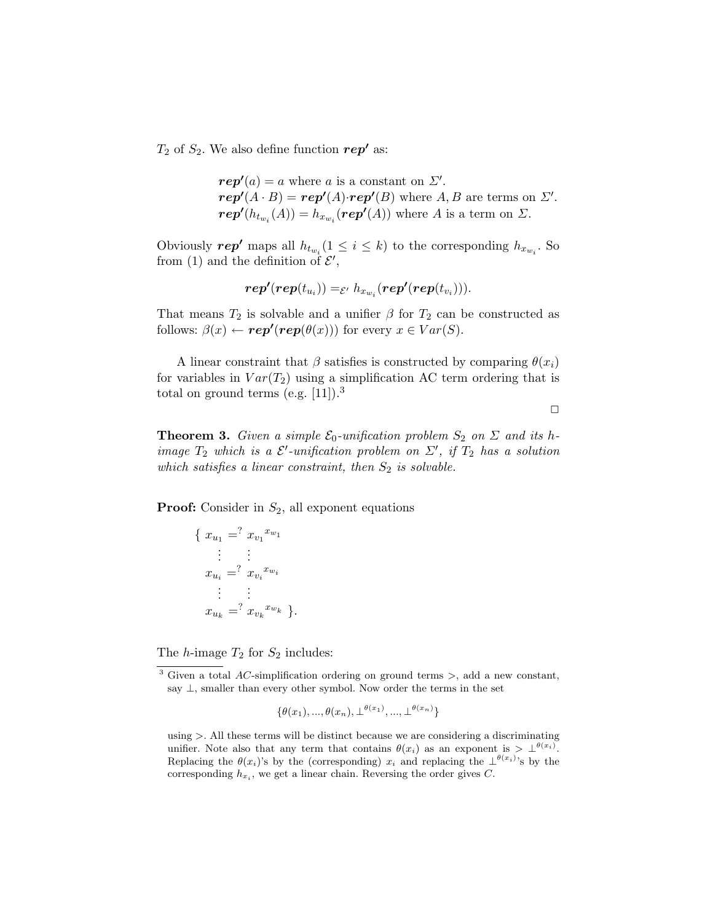$T_2$  of  $S_2$ . We also define function  $rep'$  as:

$$
rep'(a) = a
$$
 where *a* is a constant on Σ'.  
\n $rep'(A \cdot B) = rep'(A) \cdot rep'(B)$  where *A*, *B* are terms on Σ'.  
\n $rep'(h_{tw_i}(A)) = h_{x_{w_i}}(rep'(A))$  where *A* is a term on Σ.

Obviously  $rep'$  maps all  $h_{t_{w_i}}(1 \leq i \leq k)$  to the corresponding  $h_{x_{w_i}}$ . So from (1) and the definition of  $\mathcal{E}'$ ,

$$
\boldsymbol{rep' (rep(t_{u_i})) =_{\mathcal{E}'} h_{x_{w_i}}(\boldsymbol{rep'(rep(t_{v_i}))}).}
$$

That means  $T_2$  is solvable and a unifier  $\beta$  for  $T_2$  can be constructed as follows:  $\beta(x) \leftarrow \text{rep}'(\text{rep}(\theta(x)))$  for every  $x \in Var(S)$ .

A linear constraint that  $\beta$  satisfies is constructed by comparing  $\theta(x_i)$ for variables in  $Var(T_2)$  using a simplification AC term ordering that is total on ground terms (e.g.  $[11]$ ).<sup>3</sup>

 $\Box$ 

**Theorem 3.** Given a simple  $\mathcal{E}_0$ -unification problem  $S_2$  on  $\Sigma$  and its himage  $T_2$  which is a  $\mathcal{E}'$ -unification problem on  $\Sigma'$ , if  $T_2$  has a solution which satisfies a linear constraint, then  $S_2$  is solvable.

**Proof:** Consider in  $S_2$ , all exponent equations

{ 
$$
x_{u_1} =^? x_{v_1}^{x_{w_1}}
$$
  
\n $\vdots$   $\vdots$   
\n $x_{u_i} =^? x_{v_i}^{x_{w_i}}$   
\n $\vdots$   $\vdots$   
\n $x_{u_k} =^? x_{v_k}^{x_{w_k}}$  }.

The *h*-image  $T_2$  for  $S_2$  includes:

$$
\{\theta(x_1), ..., \theta(x_n), \perp^{\theta(x_1)}, ..., \perp^{\theta(x_n)}\}
$$

using >. All these terms will be distinct because we are considering a discriminating unifier. Note also that any term that contains  $\theta(x_i)$  as an exponent is  $\geq \perp^{\theta(x_i)}$ . Replacing the  $\theta(x_i)$ 's by the (corresponding)  $x_i$  and replacing the  $\perp^{\theta(x_i)}$ 's by the corresponding  $h_{x_i}$ , we get a linear chain. Reversing the order gives C.

<sup>&</sup>lt;sup>3</sup> Given a total AC-simplification ordering on ground terms  $>$ , add a new constant, say  $\perp$ , smaller than every other symbol. Now order the terms in the set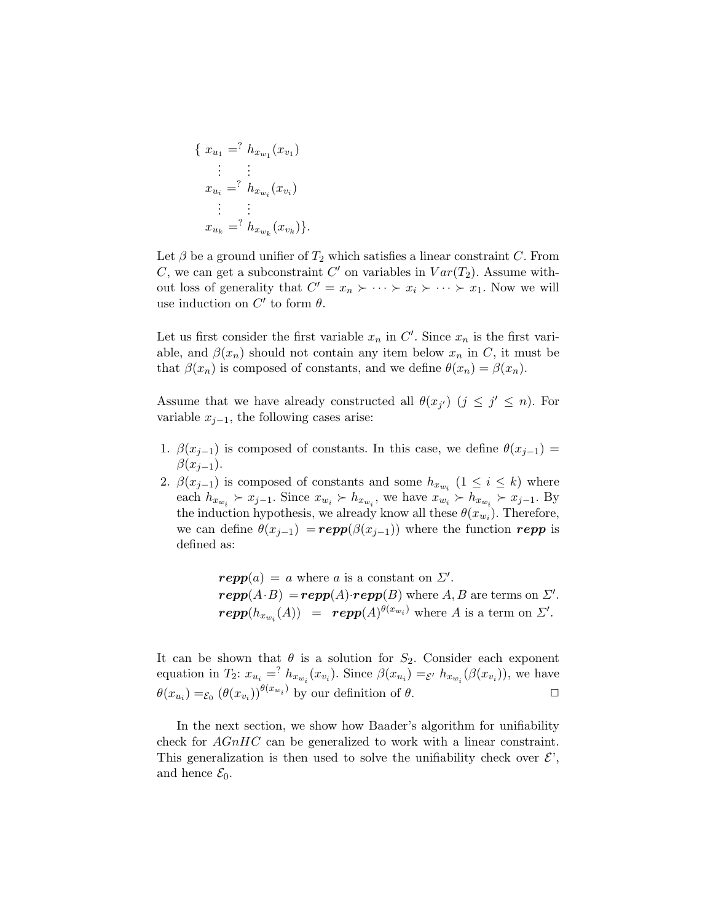{ 
$$
x_{u_1} =^? h_{x_{w_1}}(x_{v_1})
$$
  
\n $\vdots$   $\vdots$   
\n $x_{u_i} =^? h_{x_{w_i}}(x_{v_i})$   
\n $\vdots$   $\vdots$   
\n $x_{u_k} =^? h_{x_{w_k}}(x_{v_k})$  }.

Let  $\beta$  be a ground unifier of  $T_2$  which satisfies a linear constraint C. From C, we can get a subconstraint C' on variables in  $Var(T_2)$ . Assume without loss of generality that  $C' = x_n \succ \cdots \succ x_i \succ \cdots \succ x_1$ . Now we will use induction on  $C'$  to form  $\theta$ .

Let us first consider the first variable  $x_n$  in C'. Since  $x_n$  is the first variable, and  $\beta(x_n)$  should not contain any item below  $x_n$  in C, it must be that  $\beta(x_n)$  is composed of constants, and we define  $\theta(x_n) = \beta(x_n)$ .

Assume that we have already constructed all  $\theta(x_{j'})$   $(j \leq j' \leq n)$ . For variable  $x_{j-1}$ , the following cases arise:

- 1.  $\beta(x_{i-1})$  is composed of constants. In this case, we define  $\theta(x_{i-1}) =$  $\beta(x_{j-1}).$
- 2.  $\beta(x_{j-1})$  is composed of constants and some  $h_{x_{w_i}}$  (1 ≤ i ≤ k) where each  $h_{x_{w_i}} \succ x_{j-1}$ . Since  $x_{w_i} \succ h_{x_{w_i}}$ , we have  $x_{w_i} \succ h_{x_{w_i}} \succ x_{j-1}$ . By the induction hypothesis, we already know all these  $\theta(x_{w_i})$ . Therefore, we can define  $\theta(x_{j-1}) = \mathbf{repp}(\beta(x_{j-1}))$  where the function repp is defined as:

 $\boldsymbol{repp}(a) = a$  where a is a constant on  $\Sigma'.$  $\boldsymbol{repp}(A \cdot B) = \boldsymbol{repp}(A) \cdot \boldsymbol{repp}(B)$  where  $A, B$  are terms on  $\Sigma'$ .  $\boldsymbol{repp}(h_{x_{w_i}}(A)) = \boldsymbol{repp}(A)^{\theta(x_{w_i})} \text{ where } A \text{ is a term on } \Sigma'.$ 

It can be shown that  $\theta$  is a solution for  $S_2$ . Consider each exponent equation in  $T_2: x_{u_i} =^? h_{x_{w_i}}(x_{v_i})$ . Since  $\beta(x_{u_i}) =_{\mathcal{E}'} h_{x_{w_i}}(\beta(x_{v_i}))$ , we have  $\theta(x_{u_i}) = \varepsilon_0 \left(\theta(x_{v_i})\right)^{\theta(x_{w_i})}$  by our definition of  $\theta$ .

In the next section, we show how Baader's algorithm for unifiability check for AGnHC can be generalized to work with a linear constraint. This generalization is then used to solve the unifiability check over  $\mathcal{E}'$ , and hence  $\mathcal{E}_0$ .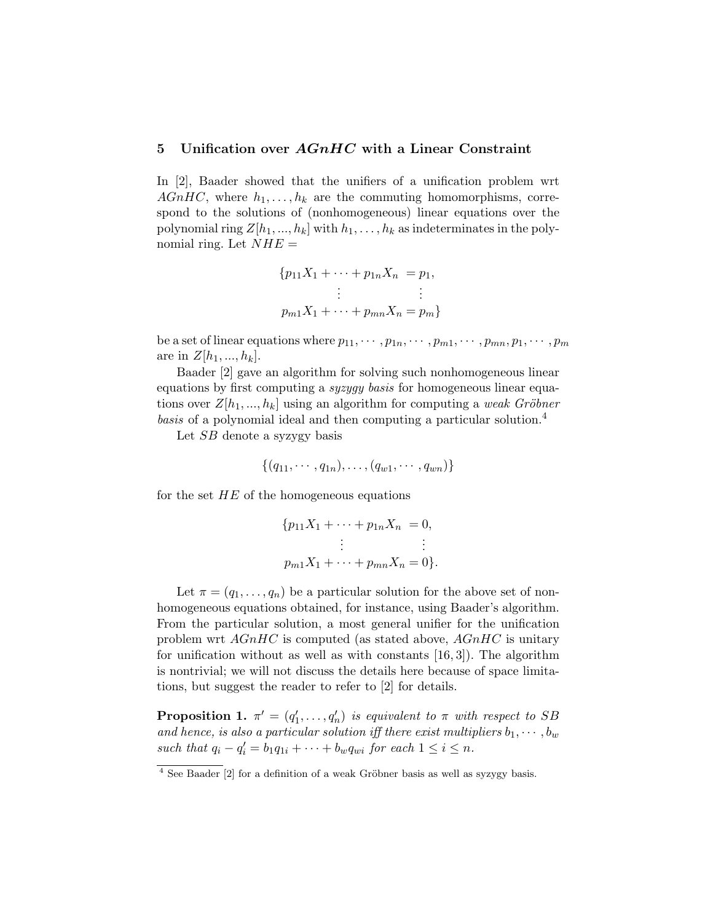#### 5 Unification over  $AGnHC$  with a Linear Constraint

In [2], Baader showed that the unifiers of a unification problem wrt  $AGnHC$ , where  $h_1, \ldots, h_k$  are the commuting homomorphisms, correspond to the solutions of (nonhomogeneous) linear equations over the polynomial ring  $Z[h_1, ..., h_k]$  with  $h_1, ..., h_k$  as indeterminates in the polynomial ring. Let  $NHE =$ 

$$
\{p_{11}X_1 + \dots + p_{1n}X_n = p_1, \n\vdots \qquad \qquad \vdots \n\} p_{m1}X_1 + \dots + p_{mn}X_n = p_m \}
$$

be a set of linear equations where  $p_{11}, \cdots, p_{1n}, \cdots, p_{m1}, \cdots, p_{mn}, p_1, \cdots, p_m$ are in  $Z[h_1, ..., h_k]$ .

Baader [2] gave an algorithm for solving such nonhomogeneous linear equations by first computing a *syzygy basis* for homogeneous linear equations over  $Z[h_1, ..., h_k]$  using an algorithm for computing a weak Gröbner basis of a polynomial ideal and then computing a particular solution.<sup>4</sup>

Let SB denote a syzygy basis

$$
\{(q_{11},\cdots,q_{1n}),\ldots,(q_{w1},\cdots,q_{wn})\}
$$

for the set  $HE$  of the homogeneous equations

$$
\{p_{11}X_1 + \dots + p_{1n}X_n = 0, \n\vdots \qquad \vdots \n\}.
$$
\n
$$
p_{m1}X_1 + \dots + p_{mn}X_n = 0\}.
$$

Let  $\pi = (q_1, \ldots, q_n)$  be a particular solution for the above set of nonhomogeneous equations obtained, for instance, using Baader's algorithm. From the particular solution, a most general unifier for the unification problem wrt  $AGnHC$  is computed (as stated above,  $AGnHC$  is unitary for unification without as well as with constants  $[16, 3]$ . The algorithm is nontrivial; we will not discuss the details here because of space limitations, but suggest the reader to refer to [2] for details.

Proposition 1.  $\pi' = (q_1')$  $\mathbf{q}'_1, \ldots, \mathbf{q}'_n$  is equivalent to  $\pi$  with respect to SB and hence, is also a particular solution iff there exist multipliers  $b_1, \cdots, b_w$ such that  $q_i - q'_i = b_1 q_{1i} + \cdots + b_w q_{wi}$  for each  $1 \leq i \leq n$ .

 $4$  See Baader [2] for a definition of a weak Gröbner basis as well as syzygy basis.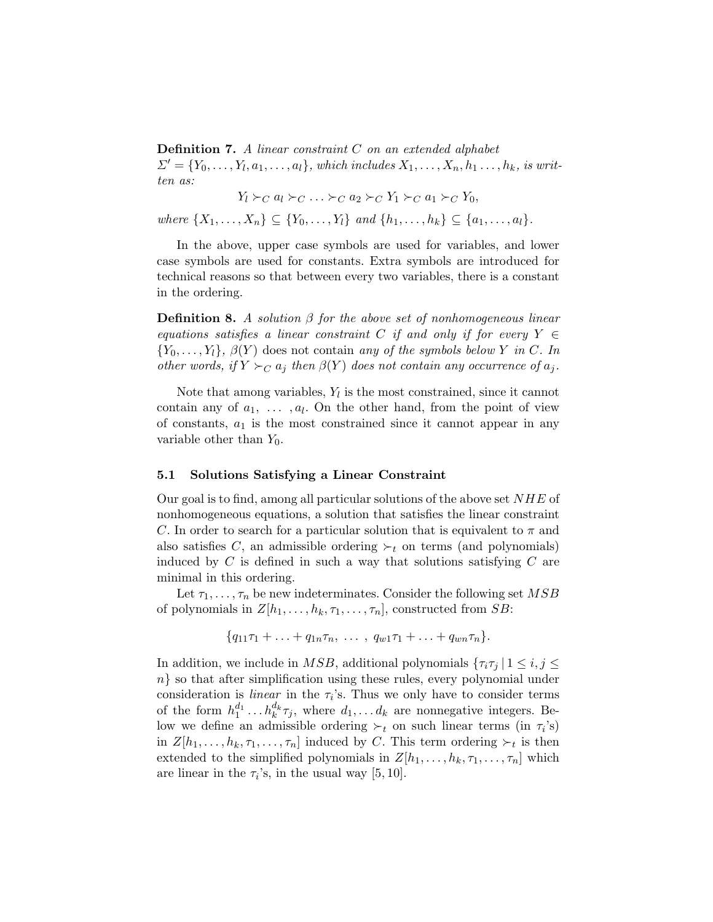Definition 7. A linear constraint C on an extended alphabet  $\Sigma' = \{Y_0, \ldots, Y_l, a_1, \ldots, a_l\}$ , which includes  $X_1, \ldots, X_n, h_1, \ldots, h_k$ , is written as:

$$
Y_l \succ_C a_l \succ_C \ldots \succ_C a_2 \succ_C Y_1 \succ_C a_1 \succ_C Y_0,
$$

where  $\{X_1, \ldots, X_n\} \subseteq \{Y_0, \ldots, Y_l\}$  and  $\{h_1, \ldots, h_k\} \subseteq \{a_1, \ldots, a_l\}.$ 

In the above, upper case symbols are used for variables, and lower case symbols are used for constants. Extra symbols are introduced for technical reasons so that between every two variables, there is a constant in the ordering.

**Definition 8.** A solution  $\beta$  for the above set of nonhomogeneous linear equations satisfies a linear constraint C if and only if for every  $Y \in$  ${Y_0, \ldots, Y_l}, \beta(Y)$  does not contain any of the symbols below Y in C. In other words, if  $Y \succ_C a_j$  then  $\beta(Y)$  does not contain any occurrence of  $a_j$ .

Note that among variables,  $Y_l$  is the most constrained, since it cannot contain any of  $a_1, \ldots, a_l$ . On the other hand, from the point of view of constants,  $a_1$  is the most constrained since it cannot appear in any variable other than  $Y_0$ .

#### 5.1 Solutions Satisfying a Linear Constraint

Our goal is to find, among all particular solutions of the above set  $NHE$  of nonhomogeneous equations, a solution that satisfies the linear constraint C. In order to search for a particular solution that is equivalent to  $\pi$  and also satisfies C, an admissible ordering  $\succ_t$  on terms (and polynomials) induced by  $C$  is defined in such a way that solutions satisfying  $C$  are minimal in this ordering.

Let  $\tau_1, \ldots, \tau_n$  be new indeterminates. Consider the following set  $MSB$ of polynomials in  $Z[h_1, \ldots, h_k, \tau_1, \ldots, \tau_n]$ , constructed from SB:

$$
\{q_{11}\tau_1 + \ldots + q_{1n}\tau_n, \ldots, q_{w1}\tau_1 + \ldots + q_{wn}\tau_n\}.
$$

In addition, we include in MSB, additional polynomials  $\{\tau_i\tau_j | 1 \leq i, j \leq j\}$  $n$  so that after simplification using these rules, every polynomial under consideration is *linear* in the  $\tau_i$ 's. Thus we only have to consider terms of the form  $h_1^{d_1} \dots h_k^{d_k} \tau_j$ , where  $d_1, \dots d_k$  are nonnegative integers. Below we define an admissible ordering  $\succ_t$  on such linear terms (in  $\tau_i$ 's) in  $Z[h_1,\ldots,h_k,\tau_1,\ldots,\tau_n]$  induced by C. This term ordering  $\succ_t$  is then extended to the simplified polynomials in  $Z[h_1, \ldots, h_k, \tau_1, \ldots, \tau_n]$  which are linear in the  $\tau_i$ 's, in the usual way [5, 10].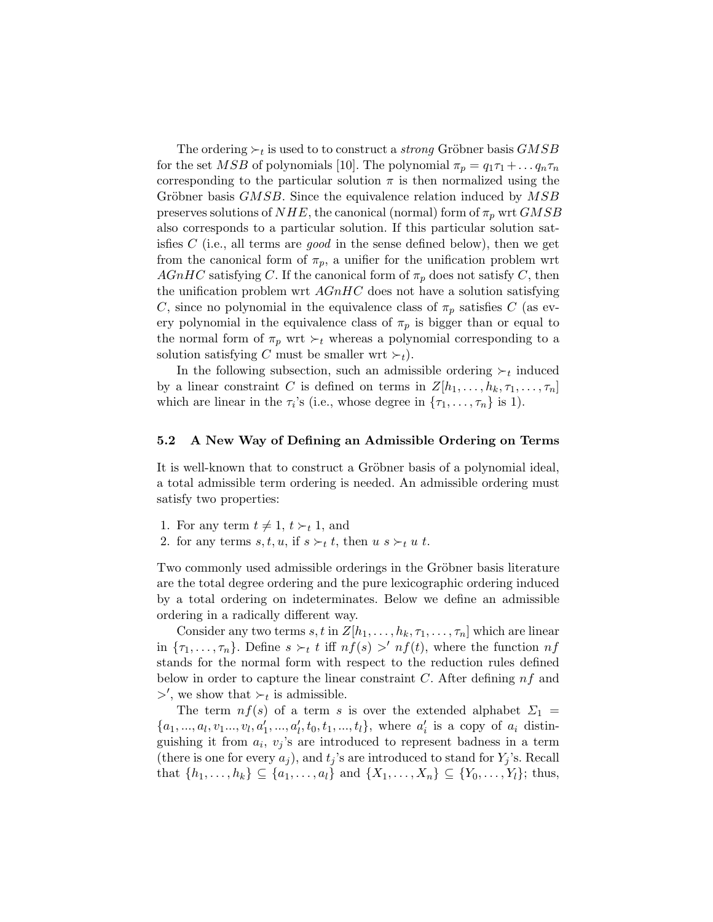The ordering  $\succ_t$  is used to to construct a *strong* Gröbner basis  $GMSB$ for the set MSB of polynomials [10]. The polynomial  $\pi_p = q_1 \tau_1 + \ldots + q_n \tau_n$ corresponding to the particular solution  $\pi$  is then normalized using the Gröbner basis  $GMSB$ . Since the equivalence relation induced by  $MSB$ preserves solutions of  $NHE$ , the canonical (normal) form of  $\pi_p$  wrt  $GMSB$ also corresponds to a particular solution. If this particular solution satisfies  $C$  (i.e., all terms are *good* in the sense defined below), then we get from the canonical form of  $\pi_p$ , a unifier for the unification problem wrt  $AGnHC$  satisfying C. If the canonical form of  $\pi_p$  does not satisfy C, then the unification problem wrt  $AGnHC$  does not have a solution satisfying C, since no polynomial in the equivalence class of  $\pi_p$  satisfies C (as every polynomial in the equivalence class of  $\pi_p$  is bigger than or equal to the normal form of  $\pi_p$  wrt  $\succ_t$  whereas a polynomial corresponding to a solution satisfying C must be smaller wrt  $\succ_t$ ).

In the following subsection, such an admissible ordering  $\succ_t$  induced by a linear constraint C is defined on terms in  $Z[h_1, \ldots, h_k, \tau_1, \ldots, \tau_n]$ which are linear in the  $\tau_i$ 's (i.e., whose degree in  $\{\tau_1, \ldots, \tau_n\}$  is 1).

#### 5.2 A New Way of Defining an Admissible Ordering on Terms

It is well-known that to construct a Gröbner basis of a polynomial ideal, a total admissible term ordering is needed. An admissible ordering must satisfy two properties:

- 1. For any term  $t \neq 1$ ,  $t \succ_t 1$ , and
- 2. for any terms  $s, t, u$ , if  $s \succ_t t$ , then  $u \ s \succ_t u \ t$ .

Two commonly used admissible orderings in the Gröbner basis literature are the total degree ordering and the pure lexicographic ordering induced by a total ordering on indeterminates. Below we define an admissible ordering in a radically different way.

Consider any two terms  $s, t$  in  $Z[h_1, \ldots, h_k, \tau_1, \ldots, \tau_n]$  which are linear in  $\{\tau_1, \ldots, \tau_n\}$ . Define  $s \succ_t t$  iff  $nf(s) >' nf(t)$ , where the function  $nf$ stands for the normal form with respect to the reduction rules defined below in order to capture the linear constraint  $C$ . After defining  $nf$  and  $>$ ', we show that  $\succ_t$  is admissible.

The term  $nf(s)$  of a term s is over the extended alphabet  $\Sigma_1$  =  ${a_1, ..., a_l, v_1, ..., v_l, a'_1, ..., a'_l, t_0, t_1, ..., t_l},$  where  $a'_i$  $i$  is a copy of  $a_i$  distinguishing it from  $a_i$ ,  $v_j$ 's are introduced to represent badness in a term (there is one for every  $a_j$ ), and  $t_j$ 's are introduced to stand for  $Y_j$ 's. Recall that  $\{h_1, \ldots, h_k\} \subseteq \{a_1, \ldots, a_l\}$  and  $\{X_1, \ldots, X_n\} \subseteq \{Y_0, \ldots, Y_l\}$ ; thus,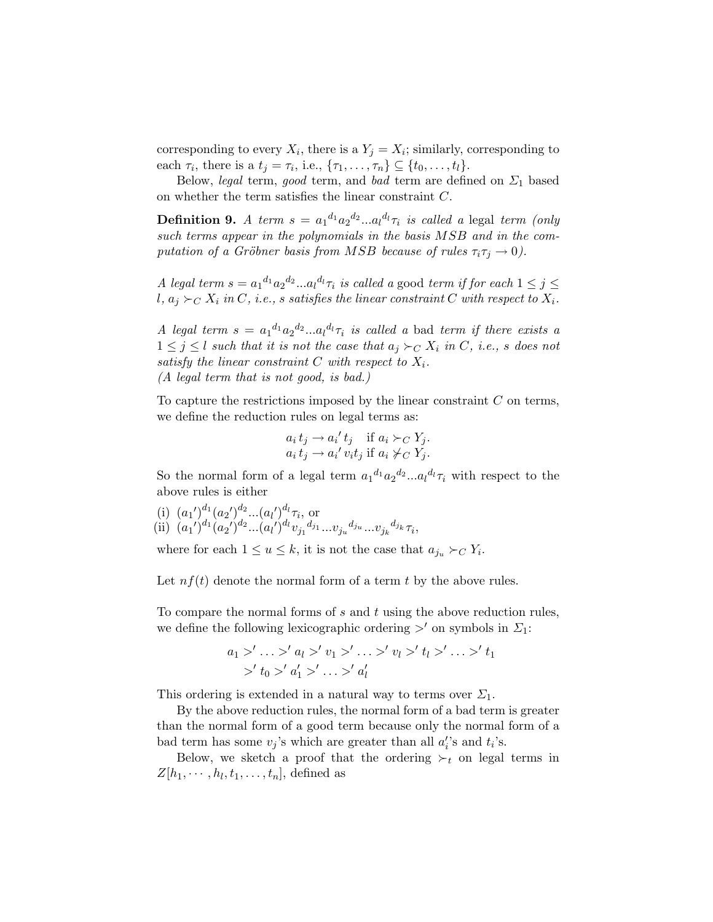corresponding to every  $X_i$ , there is a  $Y_j = X_i$ ; similarly, corresponding to each  $\tau_i$ , there is a  $t_j = \tau_i$ , i.e.,  $\{\tau_1, \ldots, \tau_n\} \subseteq \{t_0, \ldots, t_l\}.$ 

Below, *legal* term, good term, and *bad* term are defined on  $\Sigma_1$  based on whether the term satisfies the linear constraint C.

**Definition 9.** A term  $s = a_1^{d_1} a_2^{d_2} ... a_l^{d_l} \tau_i$  is called a legal term (only such terms appear in the polynomials in the basis MSB and in the computation of a Gröbner basis from MSB because of rules  $\tau_i \tau_j \to 0$ ).

A legal term  $s = a_1^{d_1} a_2^{d_2} ... a_l^{d_l} \tau_i$  is called a good term if for each  $1 \leq j \leq$ l,  $a_j \succ_C X_i$  in C, i.e., s satisfies the linear constraint C with respect to  $X_i$ .

A legal term  $s = a_1^{d_1} a_2^{d_2} ... a_l^{d_l} \tau_i$  is called a bad term if there exists a  $1 \leq j \leq l$  such that it is not the case that  $a_j \succ_C X_i$  in C, i.e., s does not satisfy the linear constraint C with respect to  $X_i$ . (A legal term that is not good, is bad.)

To capture the restrictions imposed by the linear constraint  $C$  on terms, we define the reduction rules on legal terms as:

$$
a_i t_j \to a_i' t_j \quad \text{if } a_i \succ_C Y_j.
$$
  

$$
a_i t_j \to a_i' v_i t_j \text{ if } a_i \not\succ_C Y_j.
$$

So the normal form of a legal term  $a_1^{d_1} a_2^{d_2} ... a_l^{d_l} \tau_i$  with respect to the above rules is either

(i)  $(a_1')^{d_1}(a_2')^{d_2}...(a_l')^{d_l}\tau_i$ , or (ii)  $(a_1')^{d_1} (a_2')^{d_2} ... (a_l')^{d_l} v_{j_1}^{d_{j_1}} ... v_{j_u}^{d_{j_u}} ... v_{j_k}^{d_{j_k}} \tau_i,$ 

where for each  $1 \le u \le k$ , it is not the case that  $a_{j_u} \succ_C Y_i$ .

Let  $nf(t)$  denote the normal form of a term t by the above rules.

To compare the normal forms of  $s$  and  $t$  using the above reduction rules, we define the following lexicographic ordering  $>$ ' on symbols in  $\Sigma_1$ :

$$
a_1 >' \ldots >' a_l >' v_1 >' \ldots >' v_l >' t_l >' \ldots >' t_1 >' t_0 >' a'_1 >' \ldots >' a'_l
$$

This ordering is extended in a natural way to terms over  $\Sigma_1$ .

By the above reduction rules, the normal form of a bad term is greater than the normal form of a good term because only the normal form of a bad term has some  $v_j$ 's which are greater than all  $a'_i$  $i$ 's and  $t_i$ 's.

Below, we sketch a proof that the ordering  $\succ_t$  on legal terms in  $Z[h_1, \cdots, h_l, t_1, \ldots, t_n]$ , defined as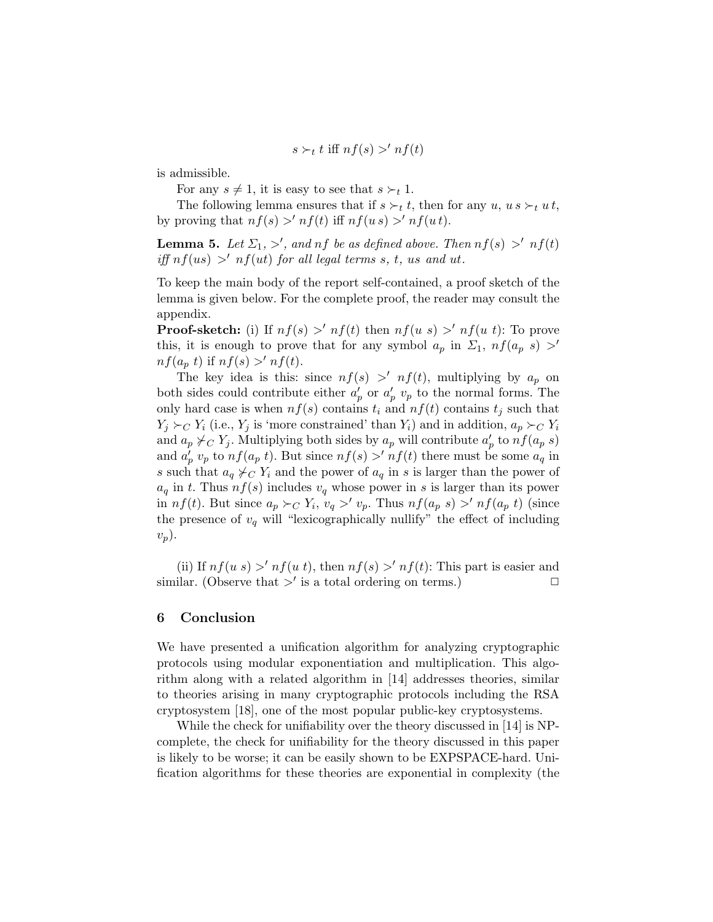$$
s \succ_t t \text{ iff } nf(s) >' nf(t)
$$

is admissible.

For any  $s \neq 1$ , it is easy to see that  $s \succ_t 1$ .

The following lemma ensures that if  $s \succ_t t$ , then for any  $u, u s \succ_t u t$ , by proving that  $nf(s) > nf(t)$  iff  $nf(us) > nf(ut)$ .

**Lemma 5.** Let  $\Sigma_1$ ,  $>^{\prime}$ , and  $nf$  be as defined above. Then  $nf(s) >^{\prime} nf(t)$ iff  $nf(us) >' nf(ut)$  for all legal terms s, t, us and ut.

To keep the main body of the report self-contained, a proof sketch of the lemma is given below. For the complete proof, the reader may consult the appendix.

**Proof-sketch:** (i) If  $nf(s) > nf(t)$  then  $nf(us) > nf(ut)$ : To prove this, it is enough to prove that for any symbol  $a_p$  in  $\Sigma_1$ ,  $nf(a_p, s) >0$  $nf(a_p t)$  if  $nf(s) >' nf(t)$ .

The key idea is this: since  $nf(s) >' nf(t)$ , multiplying by  $a_p$  on both sides could contribute either  $a'_{p}$  or  $a'_{p}$  $'_{p}$   $v_{p}$  to the normal forms. The only hard case is when  $nf(s)$  contains  $t_i$  and  $nf(t)$  contains  $t_j$  such that  $Y_i \succ_C Y_i$  (i.e.,  $Y_j$  is 'more constrained' than  $Y_i$ ) and in addition,  $a_p \succ_C Y_i$ and  $a_p \nless c Y_j$ . Multiplying both sides by  $a_p$  will contribute  $a'_p$  $_p^\prime$  to  $nf(a_p|s)$ and  $a'_i$  $p'_p$   $v_p$  to  $nf(a_p t)$ . But since  $nf(s) > nf(t)$  there must be some  $a_q$  in s such that  $a_q \nsucc_C Y_i$  and the power of  $a_q$  in s is larger than the power of  $a_q$  in t. Thus  $nf(s)$  includes  $v_q$  whose power in s is larger than its power in  $nf(t)$ . But since  $a_p \succ_C Y_i$ ,  $v_q > v_p$ . Thus  $nf(a_p s) > nf(a_p t)$  (since the presence of  $v_q$  will "lexicographically nullify" the effect of including  $v_p$ ).

(ii) If  $nf(u s) > n f(u t)$ , then  $nf(s) > nf(t)$ : This part is easier and similar. (Observe that  $>$ ' is a total ordering on terms.)  $\Box$ 

#### 6 Conclusion

We have presented a unification algorithm for analyzing cryptographic protocols using modular exponentiation and multiplication. This algorithm along with a related algorithm in [14] addresses theories, similar to theories arising in many cryptographic protocols including the RSA cryptosystem [18], one of the most popular public-key cryptosystems.

While the check for unifiability over the theory discussed in [14] is NPcomplete, the check for unifiability for the theory discussed in this paper is likely to be worse; it can be easily shown to be EXPSPACE-hard. Unification algorithms for these theories are exponential in complexity (the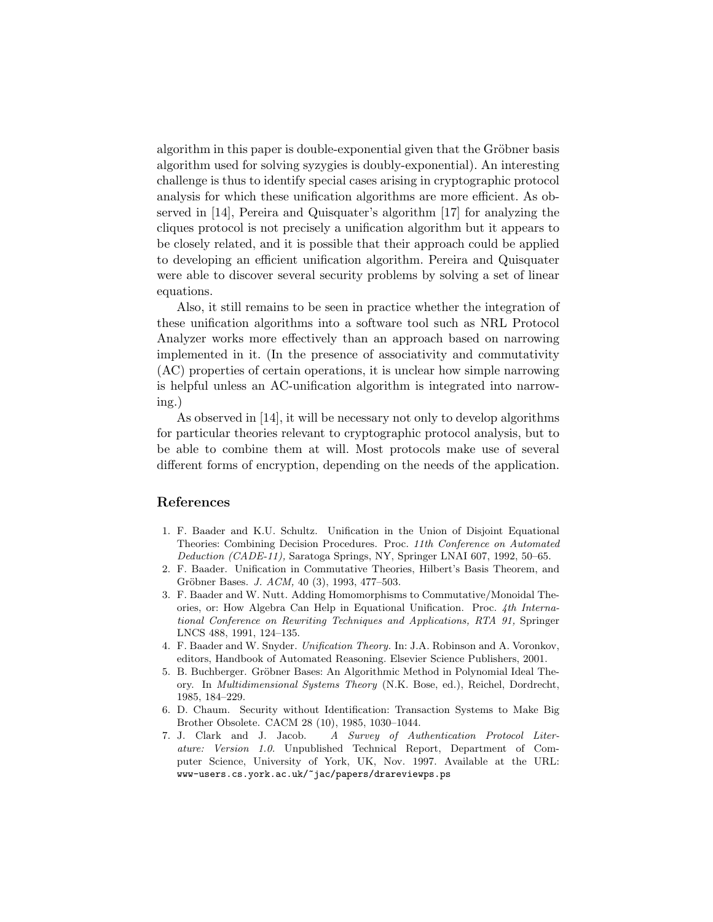algorithm in this paper is double-exponential given that the Gröbner basis algorithm used for solving syzygies is doubly-exponential). An interesting challenge is thus to identify special cases arising in cryptographic protocol analysis for which these unification algorithms are more efficient. As observed in [14], Pereira and Quisquater's algorithm [17] for analyzing the cliques protocol is not precisely a unification algorithm but it appears to be closely related, and it is possible that their approach could be applied to developing an efficient unification algorithm. Pereira and Quisquater were able to discover several security problems by solving a set of linear equations.

Also, it still remains to be seen in practice whether the integration of these unification algorithms into a software tool such as NRL Protocol Analyzer works more effectively than an approach based on narrowing implemented in it. (In the presence of associativity and commutativity (AC) properties of certain operations, it is unclear how simple narrowing is helpful unless an AC-unification algorithm is integrated into narrowing.)

As observed in [14], it will be necessary not only to develop algorithms for particular theories relevant to cryptographic protocol analysis, but to be able to combine them at will. Most protocols make use of several different forms of encryption, depending on the needs of the application.

#### References

- 1. F. Baader and K.U. Schultz. Unification in the Union of Disjoint Equational Theories: Combining Decision Procedures. Proc. 11th Conference on Automated Deduction (CADE-11), Saratoga Springs, NY, Springer LNAI 607, 1992, 50–65.
- 2. F. Baader. Unification in Commutative Theories, Hilbert's Basis Theorem, and Gröbner Bases. J. ACM, 40 (3), 1993, 477-503.
- 3. F. Baader and W. Nutt. Adding Homomorphisms to Commutative/Monoidal Theories, or: How Algebra Can Help in Equational Unification. Proc. 4th International Conference on Rewriting Techniques and Applications, RTA 91, Springer LNCS 488, 1991, 124–135.
- 4. F. Baader and W. Snyder. Unification Theory. In: J.A. Robinson and A. Voronkov, editors, Handbook of Automated Reasoning. Elsevier Science Publishers, 2001.
- 5. B. Buchberger. Gröbner Bases: An Algorithmic Method in Polynomial Ideal Theory. In Multidimensional Systems Theory (N.K. Bose, ed.), Reichel, Dordrecht, 1985, 184–229.
- 6. D. Chaum. Security without Identification: Transaction Systems to Make Big Brother Obsolete. CACM 28 (10), 1985, 1030–1044.
- 7. J. Clark and J. Jacob. A Survey of Authentication Protocol Literature: Version 1.0. Unpublished Technical Report, Department of Computer Science, University of York, UK, Nov. 1997. Available at the URL: www-users.cs.york.ac.uk/~jac/papers/drareviewps.ps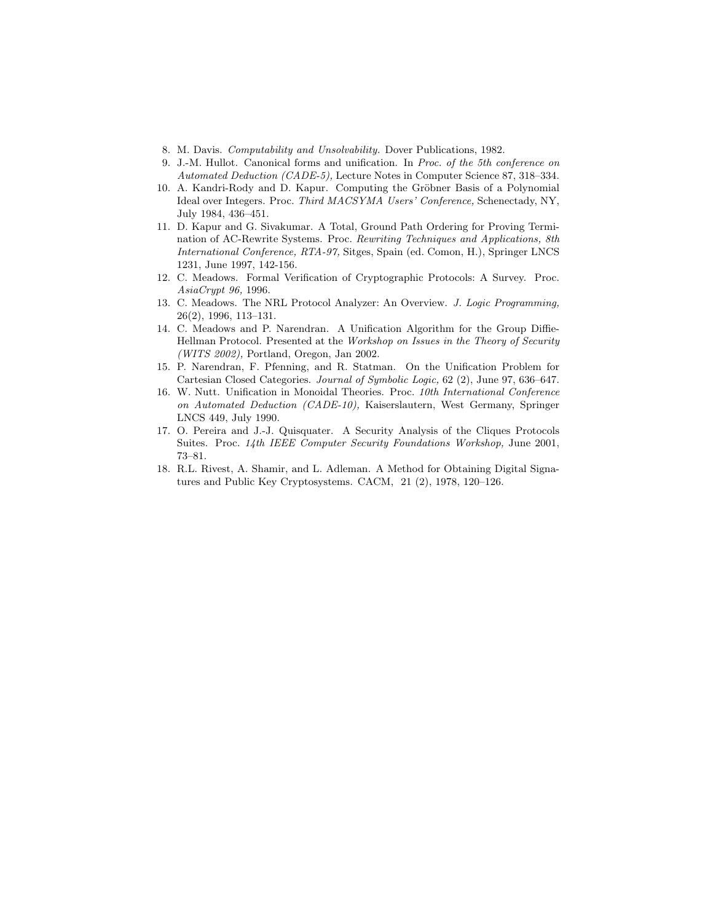- 8. M. Davis. Computability and Unsolvability. Dover Publications, 1982.
- 9. J.-M. Hullot. Canonical forms and unification. In Proc. of the 5th conference on Automated Deduction (CADE-5), Lecture Notes in Computer Science 87, 318–334.
- 10. A. Kandri-Rody and D. Kapur. Computing the Gröbner Basis of a Polynomial Ideal over Integers. Proc. Third MACSYMA Users' Conference, Schenectady, NY, July 1984, 436–451.
- 11. D. Kapur and G. Sivakumar. A Total, Ground Path Ordering for Proving Termination of AC-Rewrite Systems. Proc. Rewriting Techniques and Applications, 8th International Conference, RTA-97, Sitges, Spain (ed. Comon, H.), Springer LNCS 1231, June 1997, 142-156.
- 12. C. Meadows. Formal Verification of Cryptographic Protocols: A Survey. Proc. AsiaCrypt 96, 1996.
- 13. C. Meadows. The NRL Protocol Analyzer: An Overview. J. Logic Programming, 26(2), 1996, 113–131.
- 14. C. Meadows and P. Narendran. A Unification Algorithm for the Group Diffie-Hellman Protocol. Presented at the Workshop on Issues in the Theory of Security (WITS 2002), Portland, Oregon, Jan 2002.
- 15. P. Narendran, F. Pfenning, and R. Statman. On the Unification Problem for Cartesian Closed Categories. Journal of Symbolic Logic, 62 (2), June 97, 636–647.
- 16. W. Nutt. Unification in Monoidal Theories. Proc. 10th International Conference on Automated Deduction (CADE-10), Kaiserslautern, West Germany, Springer LNCS 449, July 1990.
- 17. O. Pereira and J.-J. Quisquater. A Security Analysis of the Cliques Protocols Suites. Proc. 14th IEEE Computer Security Foundations Workshop, June 2001, 73–81.
- 18. R.L. Rivest, A. Shamir, and L. Adleman. A Method for Obtaining Digital Signatures and Public Key Cryptosystems. CACM, 21 (2), 1978, 120–126.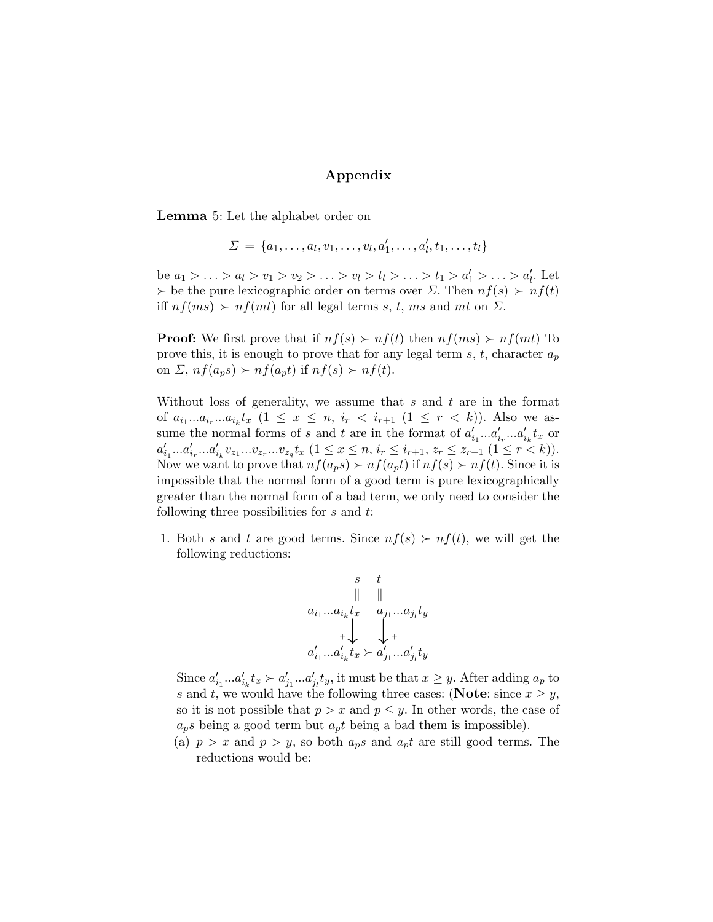#### Appendix

Lemma 5: Let the alphabet order on

$$
\Sigma = \{a_1, \ldots, a_l, v_1, \ldots, v_l, a'_1, \ldots, a'_l, t_1, \ldots, t_l\}
$$

be  $a_1 > \ldots > a_l > v_1 > v_2 > \ldots > v_l > t_l > \ldots > t_1 > a'_1 > \ldots > a'_l$ . Let  $\succ$  be the pure lexicographic order on terms over  $\Sigma$ . Then  $nf(s) \succ nf(t)$ iff  $nf(ms) \succ nf(mt)$  for all legal terms s, t, ms and mt on  $\Sigma$ .

**Proof:** We first prove that if  $nf(s) > nf(t)$  then  $nf(ms) > nf(mt)$  To prove this, it is enough to prove that for any legal term s, t, character  $a_p$ on  $\Sigma$ ,  $nf(a_p s) \succ nf(a_p t)$  if  $nf(s) \succ nf(t)$ .

Without loss of generality, we assume that  $s$  and  $t$  are in the format of  $a_{i_1}...a_{i_r}...a_{i_k}t_x$   $(1 \leq x \leq n, i_r < i_{r+1} (1 \leq r < k)).$  Also we assume the normal forms of s and t are in the format of  $a'_i$  $a'_i...a'_i...a'_k$ tx or  $a_i'$  $i_1'...a'_{i_r}...a'_{i_k}v_{z_1}...v_{z_r}...v_{z_q}t_x$   $(1 \leq x \leq n, i_r \leq i_{r+1}, z_r \leq z_{r+1}$   $(1 \leq r \leq k)).$ Now we want to prove that  $nf(a_ps) \succ nf(a_pt)$  if  $nf(s) \succ nf(t)$ . Since it is impossible that the normal form of a good term is pure lexicographically greater than the normal form of a bad term, we only need to consider the following three possibilities for  $s$  and  $t$ :

1. Both s and t are good terms. Since  $nf(s) > nf(t)$ , we will get the following reductions:

$$
\begin{array}{ccc}&&s&t\\&\parallel&\parallel\\a_{i_1}...a_{i_k}t_x&a_{j_1}...a_{j_l}t_y\\&\downarrow&\downarrow\\a_{i_1}'...a_{i_k}'t_x\succ a_{j_1}'...a_{j_l}'t_y\\ \end{array}
$$

Since  $a_i'$  $a'_{i_1}...a'_{i_k}t_x \succ a'_{j_k}$  $y'_1...a'_jt_y$ , it must be that  $x \geq y$ . After adding  $a_p$  to s and t, we would have the following three cases: (Note: since  $x \geq y$ , so it is not possible that  $p > x$  and  $p \leq y$ . In other words, the case of  $a_p s$  being a good term but  $a_p t$  being a bad them is impossible).

(a)  $p > x$  and  $p > y$ , so both  $a_p s$  and  $a_p t$  are still good terms. The reductions would be: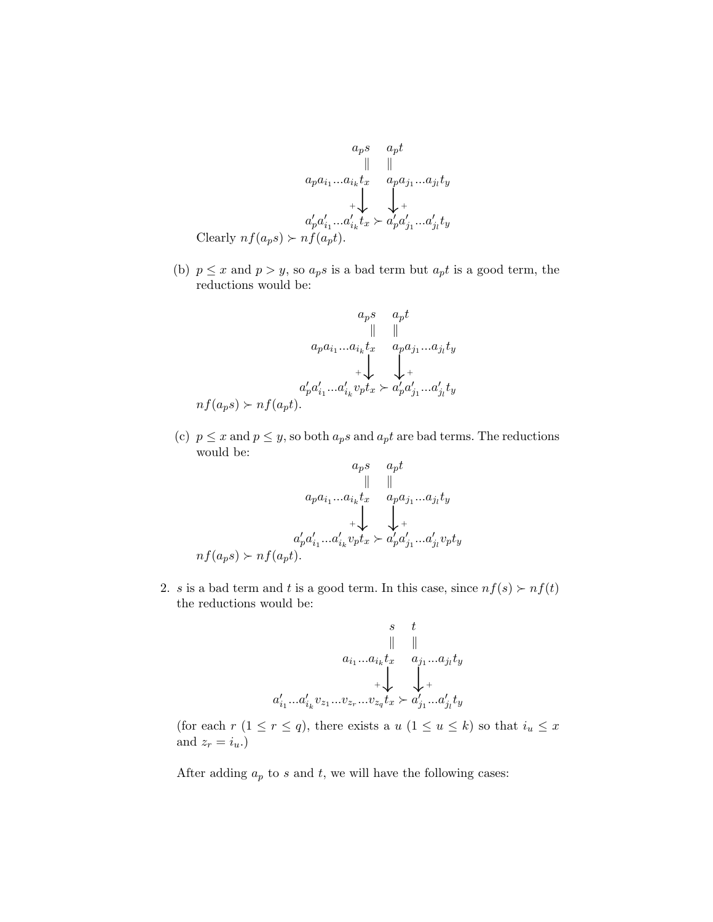$$
a_p s \n\begin{array}{c}\n a_p t \\
\parallel \quad \parallel \\
 a_p a_{i_1} \dots a_{i_k} t_x \n\begin{array}{c}\n a_p a_{j_1} \dots a_{j_l} t_y \\
+ \downarrow \\
 a'_p a'_{i_1} \dots a'_{i_k} t_x \n\end{array}\n\end{array}
$$
\nClearly  $nf(a_p s) \succ nf(a_p t)$ .

(b)  $p \leq x$  and  $p > y$ , so  $a_p s$  is a bad term but  $a_p t$  is a good term, the reductions would be:

$$
a_p s \n\begin{array}{c}\n a_p t \\
\parallel \quad \parallel \\
 a_p a_{i_1} \dots a_{i_k} t_x \n\begin{array}{c}\n a_p a_{j_1} \dots a_{j_l} t_y \\
+ \downarrow \quad \downarrow \\
 a'_p a'_{i_1} \dots a'_{i_k} v_p t_x \succ a'_p a'_{j_1} \dots a'_{j_l} t_y\n\end{array}\n\end{array}
$$
\n
$$
nf(a_p s) \succ n f(a_p t).
$$

(c)  $p \leq x$  and  $p \leq y$ , so both  $a_p s$  and  $a_p t$  are bad terms. The reductions would be:

$$
a_p s \n\begin{array}{c}\n a_p t \\
\parallel \quad \parallel \\
 a_p a_{i_1} \dots a_{i_k} t_x \n\begin{array}{c}\n a_p a_{j_1} \dots a_{j_l} t_y \\
 \downarrow \\
 \downarrow \\
 \downarrow \\
 \downarrow \\
 n f(a_p s) \succ n f(a_p t).\n\end{array}
$$

2. s is a bad term and t is a good term. In this case, since  $nf(s) \succ nf(t)$ the reductions would be:

$$
s \t\t\t t
$$
\n
$$
\begin{array}{ccc}\n & s \t\t\t t \\
 & \parallel & \parallel \\
a_{i_1}...a_{i_k}t_x & a_{j_1}...a_{j_l}t_y \\
 & \downarrow & \downarrow \\
a'_{i_1}...a'_{i_k}v_{z_1}...v_{z_r}...v_{z_q}t_x \succ a'_{j_1}...a'_{j_l}t_y\n\end{array}
$$

(for each  $r$  ( $1 \le r \le q$ ), there exists a  $u$  ( $1 \le u \le k$ ) so that  $i_u \le x$ and  $z_r = i_u$ .)

After adding  $a_p$  to s and t, we will have the following cases: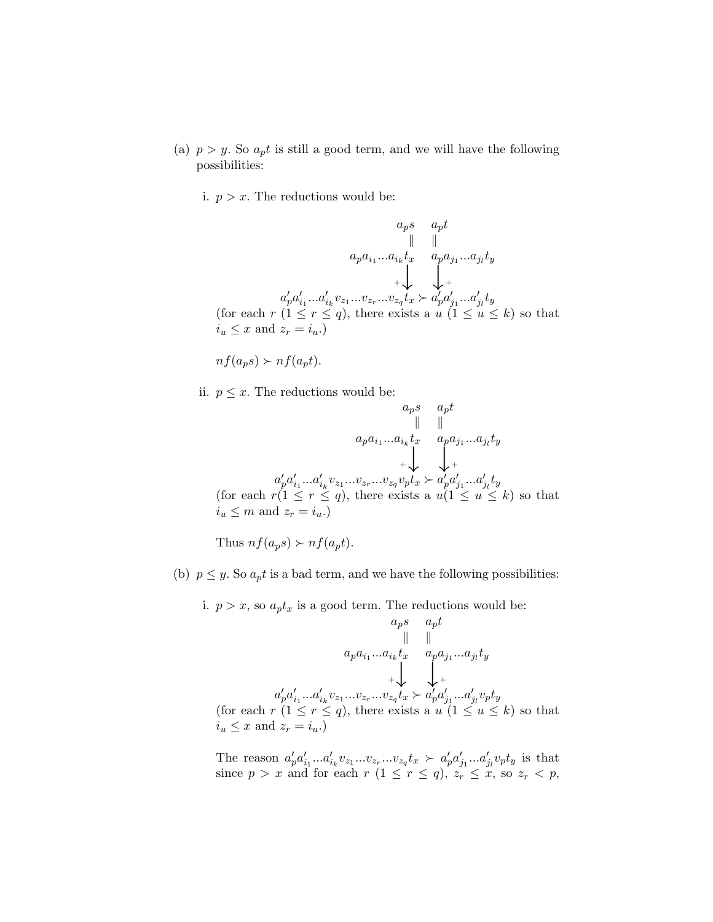- (a)  $p > y$ . So  $a_p t$  is still a good term, and we will have the following possibilities:
	- i.  $p > x$ . The reductions would be:

aps apt k k apai<sup>1</sup> ...ai<sup>k</sup> t<sup>x</sup> apaj<sup>1</sup> ...aj<sup>l</sup> ty <sup>+</sup>↓ ↓<sup>+</sup> a 0 pa 0 i1 ...a<sup>0</sup> ik vz<sup>1</sup> ...vz<sup>r</sup> ...vz<sup>q</sup> t<sup>x</sup> a 0 pa 0 j1 ...a<sup>0</sup> jl ty (for each r (1 ≤ r ≤ q), there exists a u (1 ≤ u ≤ k) so that i<sup>u</sup> ≤ x and z<sup>r</sup> = iu.)

$$
nf(a_p s) \succ nf(a_p t).
$$

- ii.  $p \leq x$ . The reductions would be:
	- $a_p s$   $a_p t$  $\mathbb{I}$   $\mathbb{I}$  $a_pa_{i_1}...a_{i_k}t_x \quad a_pa_{j_1}...a_{j_l}t_y$ <br>+  $a'_pa'_i$  $x'_{i_1}...a'_{i_k}v_{z_1}...v_{z_r}...v_{z_q}v_pt_x \succ a'_pa'_p$  $j_1...a'_{j_l}t_y$ (for each  $r(1 \leq r \leq q)$ , there exists a  $u(1 \leq u \leq k)$  so that  $i_u \leq m$  and  $z_r = i_u$ .)

Thus  $nf(a_p s) \succ nf(a_p t)$ .

(b)  $p \leq y$ . So  $a_p t$  is a bad term, and we have the following possibilities:

i.  $p > x$ , so  $a_p t_x$  is a good term. The reductions would be:

aps apt k k apai<sup>1</sup> ...ai<sup>k</sup> t<sup>x</sup> apaj<sup>1</sup> ...aj<sup>l</sup> ty <sup>+</sup>↓ ↓<sup>+</sup> a 0 pa 0 i1 ...a<sup>0</sup> ik vz<sup>1</sup> ...vz<sup>r</sup> ...vz<sup>q</sup> t<sup>x</sup> a 0 pa 0 j1 ...a<sup>0</sup> jl vpt<sup>y</sup> (for each r (1 ≤ r ≤ q), there exists a u (1 ≤ u ≤ k) so that i<sup>u</sup> ≤ x and z<sup>r</sup> = iu.)

The reason  $a'_p a'_i$  $a'_{i_1}...a'_{i_k}v_{z_1}...v_{z_r}...v_{z_q}t_x \succ a'_pa'_j$  $y'_1...a'_jv_p t_y$  is that since  $p > x$  and for each  $r$   $(1 \leq r \leq q)$ ,  $z_r \leq x$ , so  $z_r < p$ ,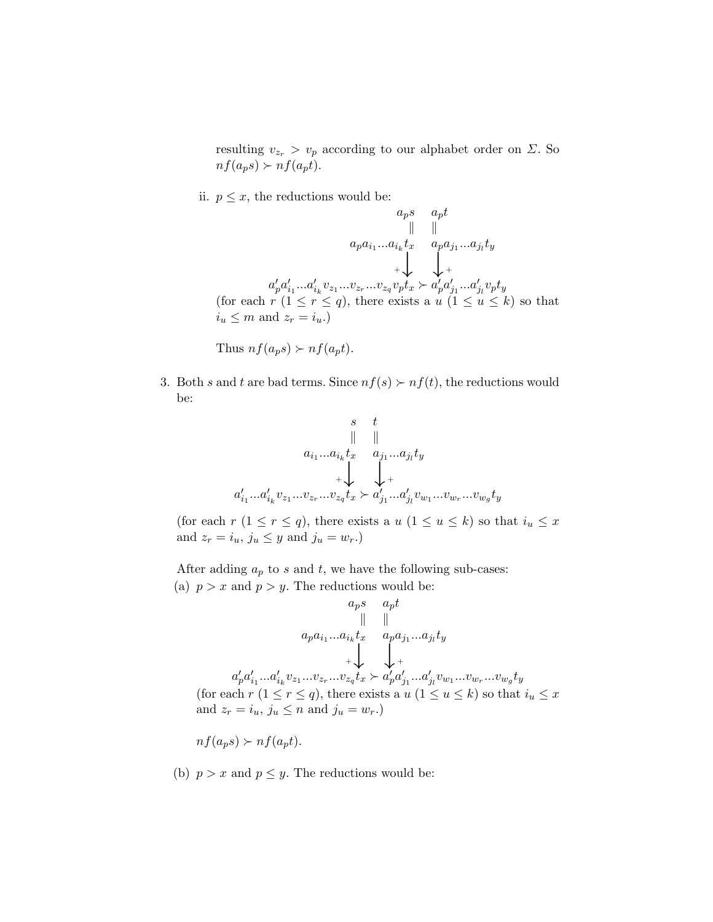resulting  $v_{z_r} > v_p$  according to our alphabet order on  $\Sigma$ . So  $nf(a_p s) \succ nf(a_p t).$ 

 $a_p s$   $a_p t$ 

ii.  $p \leq x$ , the reductions would be:

 $\mathbb{R}$   $\mathbb{R}$  $a_{p}a_{i_{1}}...a_{i_{k}}t_{x} \rightharpoonup a_{p}a_{j_{1}}...a_{j_{l}}t_{y} \rightharpoonup \rightharpoonup \rightharpoonup \rightharpoonup \rightharpoonup \rightharpoonup \rightharpoonup \rightharpoonup \rightharpoonup \rightharpoonup \rightharpoonup \rightharpoonup \rightharpoonup \rightharpoonup \rightharpoonup \rightharpoonup \rightharpoonup \rightharpoonup \rightharpoonup \rightharpoonup \rightharpoonup \rightharpoonup \rightharpoonup \rightharpoonup \rightharpoonup \rightharpoonup \rightharpoonup \rightharpoonup \righthar$  $a'_pa'_i$  $\sum'_{i_1}...a'_{i_k}v_{z_1}...v_{z_r}...v_{z_q}v_{p}t_x \succ a'_{p}a'_{p}$  $'_{j_1}...a'_{j_l}v_p t_y$ (for each  $r (1 \leq r \leq q)$ , there exists a  $u (1 \leq u \leq k)$  so that  $i_u \leq m$  and  $z_r = i_u$ .

Thus  $nf(a_p s) \succ nf(a_p t)$ .

3. Both s and t are bad terms. Since  $nf(s) \succ nf(t)$ , the reductions would be:

$$
\begin{array}{ccc} & s & t & \\ \parallel & \parallel & \\ a_{i_1}...a_{i_k}t_x & a_{j_1}...a_{j_l}t_y \\ & & \downarrow & \\ a_{i_1}'...a_{i_k}'v_{z_1}...v_{z_r}...v_{z_q}t_x \succ a_{j_1}'...a_{j_l}'v_{w_1}...v_{w_r}...v_{w_g}t_y \end{array}
$$

(for each  $r$   $(1 \le r \le q)$ , there exists a  $u$   $(1 \le u \le k)$  so that  $i_u \le x$ and  $z_r = i_u$ ,  $j_u \leq y$  and  $j_u = w_r$ .)

After adding  $a_p$  to s and t, we have the following sub-cases: (a)  $p > x$  and  $p > y$ . The reductions would be:

$$
a_p s \quad a_p t
$$
\n
$$
\parallel \quad \parallel
$$
\n
$$
a_p a_{i_1} \dots a_{i_k} t_x \quad a_p a_{j_1} \dots a_{j_l} t_y
$$
\n
$$
a'_p a'_{i_1} \dots a'_{i_k} v_{z_1} \dots v_{z_r} \dots v_{z_q} t_x \succ a'_p a'_{j_1} \dots a'_{j_l} v_{w_1} \dots v_{w_r} \dots v_{w_g} t_y
$$
\n(for each  $r$  ( $1 \le r \le q$ ), there exists a  $u$  ( $1 \le u \le k$ ) so that  $i_u \le x$  and  $z_r = i_u$ ,  $j_u \le n$  and  $j_u = w_r$ .)

$$
nf(a_p s) \succ nf(a_p t).
$$

(b)  $p > x$  and  $p \leq y$ . The reductions would be: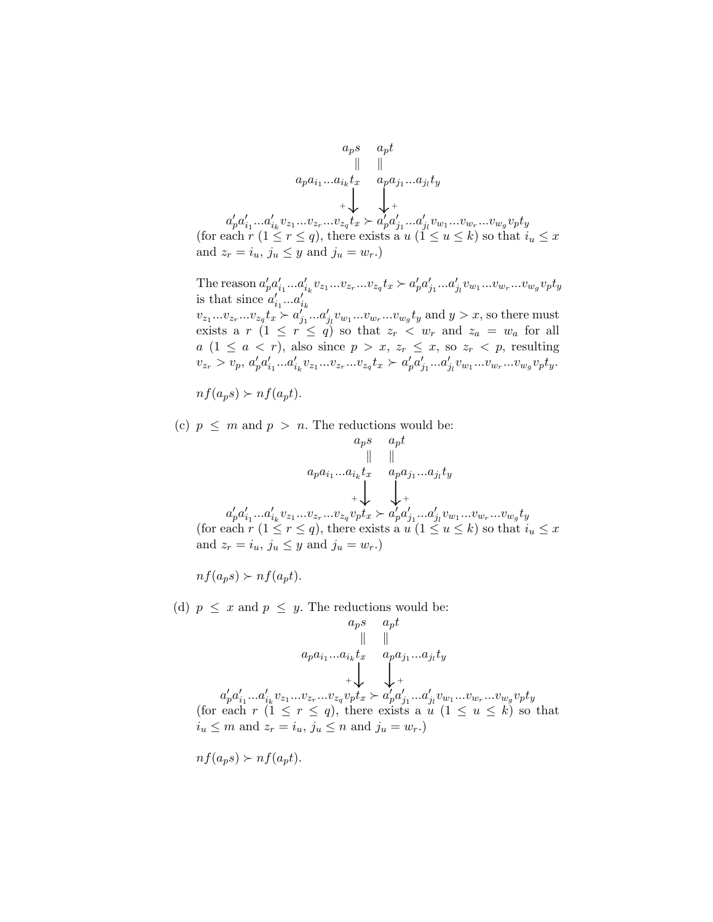$$
\begin{array}{ccc}\n a_p s & a_p t \\
 \parallel & \parallel & \parallel \\
 a_p a_{i_1} \ldots a_{i_k} t_x & a_p a_{j_1} \ldots a_{j_l} t_y \\
 & \downarrow & \downarrow \\
 \cup_{z_1} \ldots \cup_{z_r} \ldots \cup_{z_q} t_x > a'_p a'_{j_1} \ldots a'_{j_l} v_{w_1}.\n \end{array}
$$

 $a'_pa'_i$  $a'_{i_1}...a'_{i_k}v_{z_1}$  $...v_{w_r}...v_{w_g}v_p t_y$ (for each  $r$   $(1 \leq r \leq q)$ , there exists a  $u$   $(1 \leq u \leq k)$  so that  $i_u \leq x$ and  $z_r = i_u$ ,  $j_u \leq y$  and  $j_u = w_r$ .

The reason  $a'_p a'_i$  $x'_{i_1}...a'_{i_k}v_{z_1}...v_{z_r}...v_{z_q}t_x \succ a'_pa'_j$  $y'_{j_1}...a'_{j_l}v_{w_1}...v_{w_r}...v_{w_g}v_pt_y$ is that since  $a_i'$  $i_1 \ldots a_{i_k}^{\prime}$  $v_{z_1}...v_{z_r}...v_{z_q}t_x \succ a'_j$  $j_1^{'k}...a_{j_l}'v_{w_1}...v_{w_r}...v_{w_g}t_y$  and  $y > x$ , so there must exists a r  $(1 \leq r \leq q)$  so that  $z_r < w_r$  and  $z_a = w_a$  for all  $a \ (1 \leq a \lt r)$ , also since  $p > x$ ,  $z_r \leq x$ , so  $z_r \lt p$ , resulting  $v_{z_r} > v_p, a'_p a'_i$  $x'_{i_1}...a'_{i_k}v_{z_1}...v_{z_r}...v_{z_q}t_x \succ a'_pa'_j$  $j_1...a'_{j_l}v_{w_1}...v_{w_r}...v_{w_g}v_p t_y.$ 

 $nf(a_p s) \succ nf(a_p t).$ 

(c)  $p \leq m$  and  $p > n$ . The reductions would be:

$$
\begin{array}{ccc} & a_p s & a_p t \\ \parallel & \parallel & \\ a_p a_{i_1} ... a_{i_k} t_x & a_p a_{j_1} ... a_{j_l} t_y \\ & + \downarrow & \downarrow + \\ & & \downarrow + \end{array}
$$

 $a'_pa'_i$  $x'_{i_1}...a'_{i_k}v_{z_1}...v_{z_r}...v_{z_q}v_pt_x \succ a'_pa'_p$  $x'_{j_1}...x'_{j_l}v_{w_1}...v_{w_r}...v_{w_g}t_y$ (for each  $r$  ( $1 \leq r \leq q$ ), there exists a  $u$  ( $1 \leq u \leq k$ ) so that  $i_u \leq x$ and  $z_r = i_u$ ,  $j_u \leq y$  and  $j_u = w_r$ .

$$
nf(a_p s) \succ nf(a_p t).
$$

(d)  $p \leq x$  and  $p \leq y$ . The reductions would be:

$$
\begin{array}{ccc} & a_p s & a_p t \\ \parallel & \parallel & \\ a_p a_{i_1} ... a_{i_k} t_x & a_p a_{j_1} ... a_{j_l} t_y \\ & + \hspace{2.5mm} \downarrow & \hspace{2.5mm} \downarrow + \hspace{2.5mm} \end{array}
$$

 $a'_pa'_i$  $\sum'_{i_1}...a'_{i_k}v_{z_1}...v_{z_r}...v_{z_q}v_pt_x \succ a'_pa'_p$  $y'_{j_1}...a'_{j_l}v_{w_1}...v_{w_r}...v_{w_g}v_pt_y$ (for each r  $(1 \leq r \leq q)$ , there exists a u  $(1 \leq u \leq k)$  so that  $i_u \leq m$  and  $z_r = i_u$ ,  $j_u \leq n$  and  $j_u = w_r$ .)

$$
nf(a_p s) \succ nf(a_p t).
$$